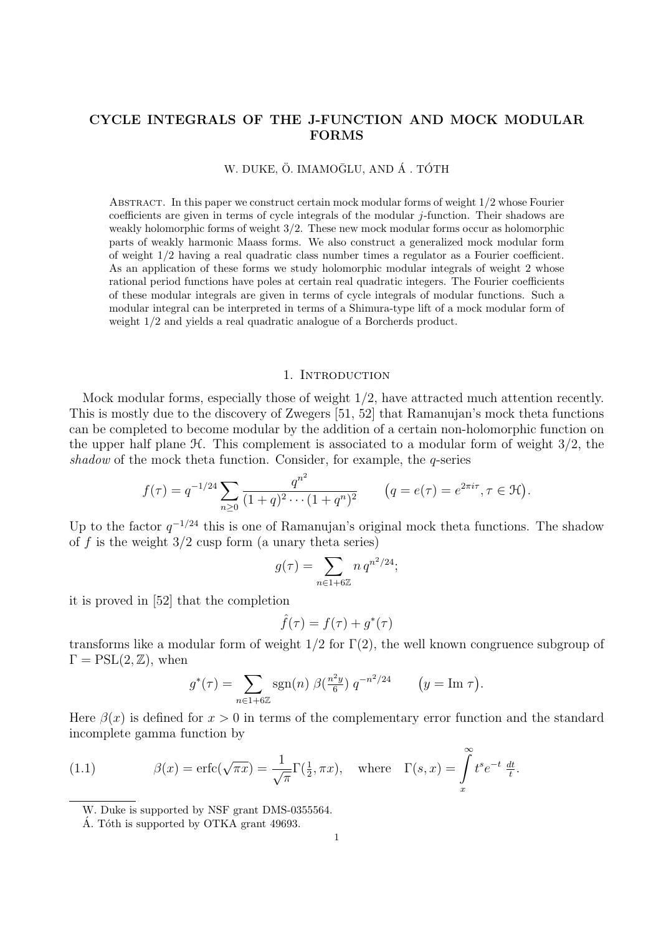# CYCLE INTEGRALS OF THE J-FUNCTION AND MOCK MODULAR FORMS

# W. DUKE, Ö. IMAMOĞLU, AND Á. TÓTH

Abstract. In this paper we construct certain mock modular forms of weight 1/2 whose Fourier coefficients are given in terms of cycle integrals of the modular  $j$ -function. Their shadows are weakly holomorphic forms of weight 3/2. These new mock modular forms occur as holomorphic parts of weakly harmonic Maass forms. We also construct a generalized mock modular form of weight 1/2 having a real quadratic class number times a regulator as a Fourier coefficient. As an application of these forms we study holomorphic modular integrals of weight 2 whose rational period functions have poles at certain real quadratic integers. The Fourier coefficients of these modular integrals are given in terms of cycle integrals of modular functions. Such a modular integral can be interpreted in terms of a Shimura-type lift of a mock modular form of weight 1/2 and yields a real quadratic analogue of a Borcherds product.

#### 1. Introduction

Mock modular forms, especially those of weight 1/2, have attracted much attention recently. This is mostly due to the discovery of Zwegers [51, 52] that Ramanujan's mock theta functions can be completed to become modular by the addition of a certain non-holomorphic function on the upper half plane  $\mathcal H$ . This complement is associated to a modular form of weight  $3/2$ , the shadow of the mock theta function. Consider, for example, the  $q$ -series

$$
f(\tau) = q^{-1/24} \sum_{n \ge 0} \frac{q^{n^2}}{(1+q)^2 \cdots (1+q^n)^2} \qquad (q = e(\tau) = e^{2\pi i \tau}, \tau \in \mathcal{H}).
$$

Up to the factor  $q^{-1/24}$  this is one of Ramanujan's original mock theta functions. The shadow of f is the weight  $3/2$  cusp form (a unary theta series)

$$
g(\tau) = \sum_{n \in 1 + 6\mathbb{Z}} n q^{n^2/24};
$$

it is proved in [52] that the completion

$$
\hat{f}(\tau) = f(\tau) + g^*(\tau)
$$

transforms like a modular form of weight  $1/2$  for  $\Gamma(2)$ , the well known congruence subgroup of  $\Gamma = \text{PSL}(2, \mathbb{Z})$ , when

$$
g^*(\tau) = \sum_{n \in 1+6\mathbb{Z}} \text{sgn}(n) \ \beta(\frac{n^2y}{6}) \ q^{-n^2/24} \qquad \big(y = \text{Im } \tau\big).
$$

Here  $\beta(x)$  is defined for  $x > 0$  in terms of the complementary error function and the standard incomplete gamma function by

(1.1) 
$$
\beta(x) = \text{erfc}(\sqrt{\pi x}) = \frac{1}{\sqrt{\pi}} \Gamma(\frac{1}{2}, \pi x), \text{ where } \Gamma(s, x) = \int_{x}^{\infty} t^s e^{-t} \frac{dt}{t}.
$$

W. Duke is supported by NSF grant DMS-0355564.

Á. Tóth is supported by OTKA grant 49693.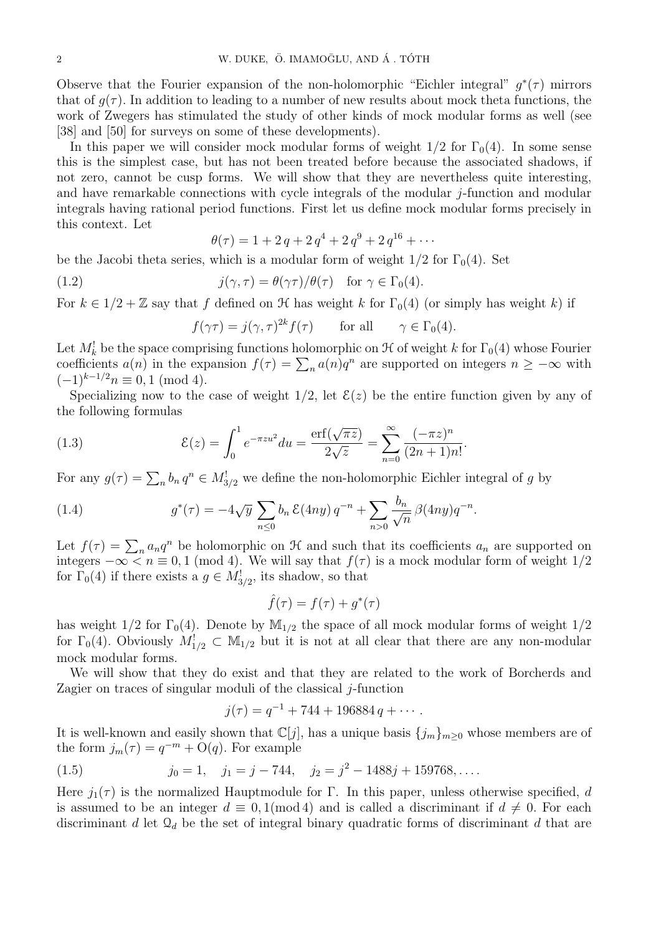Observe that the Fourier expansion of the non-holomorphic "Eichler integral"  $g^*(\tau)$  mirrors that of  $g(\tau)$ . In addition to leading to a number of new results about mock theta functions, the work of Zwegers has stimulated the study of other kinds of mock modular forms as well (see [38] and [50] for surveys on some of these developments).

In this paper we will consider mock modular forms of weight  $1/2$  for  $\Gamma_0(4)$ . In some sense this is the simplest case, but has not been treated before because the associated shadows, if not zero, cannot be cusp forms. We will show that they are nevertheless quite interesting, and have remarkable connections with cycle integrals of the modular  $j$ -function and modular integrals having rational period functions. First let us define mock modular forms precisely in this context. Let

$$
\theta(\tau) = 1 + 2q + 2q^4 + 2q^9 + 2q^{16} + \cdots
$$

be the Jacobi theta series, which is a modular form of weight  $1/2$  for  $\Gamma_0(4)$ . Set

(1.2) 
$$
j(\gamma, \tau) = \theta(\gamma \tau) / \theta(\tau) \quad \text{for } \gamma \in \Gamma_0(4).
$$

For  $k \in 1/2 + \mathbb{Z}$  say that f defined on  $\mathcal H$  has weight k for  $\Gamma_0(4)$  (or simply has weight k) if

$$
f(\gamma \tau) = j(\gamma, \tau)^{2k} f(\tau)
$$
 for all  $\gamma \in \Gamma_0(4)$ .

Let  $M_k^!$  be the space comprising functions holomorphic on  $\mathcal H$  of weight k for  $\Gamma_0(4)$  whose Fourier coefficients  $a(n)$  in the expansion  $f(\tau) = \sum_n a(n)q^n$  are supported on integers  $n \geq -\infty$  with  $(-1)^{k-1/2}$  $n \equiv 0, 1 \pmod{4}$ .

Specializing now to the case of weight  $1/2$ , let  $\mathcal{E}(z)$  be the entire function given by any of the following formulas

(1.3) 
$$
\mathcal{E}(z) = \int_0^1 e^{-\pi z u^2} du = \frac{\text{erf}(\sqrt{\pi z})}{2\sqrt{z}} = \sum_{n=0}^\infty \frac{(-\pi z)^n}{(2n+1)n!}.
$$

For any  $g(\tau) = \sum_{n} b_n q^n \in M_{3/2}^!$  we define the non-holomorphic Eichler integral of g by

(1.4) 
$$
g^*(\tau) = -4\sqrt{y} \sum_{n \leq 0} b_n \mathcal{E}(4ny) q^{-n} + \sum_{n > 0} \frac{b_n}{\sqrt{n}} \beta(4ny) q^{-n}.
$$

Let  $f(\tau) = \sum_n a_n q^n$  be holomorphic on  $\mathcal H$  and such that its coefficients  $a_n$  are supported on integers  $-\infty < n \equiv 0, 1 \pmod{4}$ . We will say that  $f(\tau)$  is a mock modular form of weight  $1/2$ for  $\Gamma_0(4)$  if there exists a  $g \in M^!_{3/2}$ , its shadow, so that

$$
\hat{f}(\tau) = f(\tau) + g^*(\tau)
$$

has weight  $1/2$  for  $\Gamma_0(4)$ . Denote by  $\mathbb{M}_{1/2}$  the space of all mock modular forms of weight  $1/2$ for  $\Gamma_0(4)$ . Obviously  $M_{1/2}^1 \subset M_{1/2}$  but it is not at all clear that there are any non-modular mock modular forms.

We will show that they do exist and that they are related to the work of Borcherds and Zagier on traces of singular moduli of the classical  $j$ -function

$$
j(\tau) = q^{-1} + 744 + 196884 q + \cdots.
$$

It is well-known and easily shown that  $\mathbb{C}[j]$ , has a unique basis  $\{j_m\}_{m\geq 0}$  whose members are of the form  $j_m(\tau) = q^{-m} + O(q)$ . For example

(1.5) 
$$
j_0 = 1, \quad j_1 = j - 744, \quad j_2 = j^2 - 1488j + 159768, \dots
$$

Here  $j_1(\tau)$  is the normalized Hauptmodule for Γ. In this paper, unless otherwise specified, d is assumed to be an integer  $d \equiv 0, 1 \pmod{4}$  and is called a discriminant if  $d \neq 0$ . For each discriminant d let  $\mathcal{Q}_d$  be the set of integral binary quadratic forms of discriminant d that are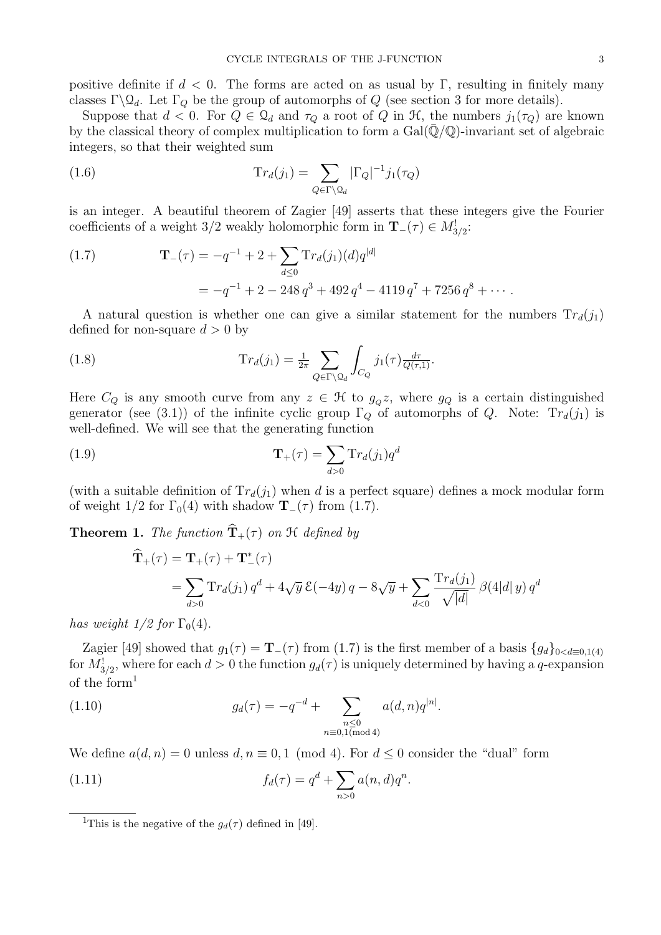positive definite if  $d < 0$ . The forms are acted on as usual by Γ, resulting in finitely many classes Γ $\mathcal{Q}_d$ . Let Γ<sub>Q</sub> be the group of automorphs of Q (see section 3 for more details).

Suppose that  $d < 0$ . For  $Q \in \mathcal{Q}_d$  and  $\tau_Q$  a root of Q in H, the numbers  $j_1(\tau_Q)$  are known by the classical theory of complex multiplication to form a  $Gal(\bar{Q}/\mathbb{Q})$ -invariant set of algebraic integers, so that their weighted sum

(1.6) 
$$
\mathrm{Tr}_d(j_1) = \sum_{Q \in \Gamma \backslash \mathcal{Q}_d} |\Gamma_Q|^{-1} j_1(\tau_Q)
$$

is an integer. A beautiful theorem of Zagier [49] asserts that these integers give the Fourier coefficients of a weight 3/2 weakly holomorphic form in  $\mathbf{T}_{-}(\tau) \in M^!_{3/2}$ :

(1.7) 
$$
\mathbf{T}_{-}(\tau) = -q^{-1} + 2 + \sum_{d \leq 0} \mathrm{Tr}_{d}(j_{1})(d)q^{|d|}
$$

$$
= -q^{-1} + 2 - 248 q^{3} + 492 q^{4} - 4119 q^{7} + 7256 q^{8} + \cdots
$$

A natural question is whether one can give a similar statement for the numbers  $Tr_d(j_1)$ defined for non-square  $d > 0$  by

(1.8) 
$$
\mathrm{Tr}_d(j_1) = \frac{1}{2\pi} \sum_{Q \in \Gamma \backslash \mathcal{Q}_d} \int_{C_Q} j_1(\tau) \frac{d\tau}{Q(\tau, 1)}.
$$

Here  $C_Q$  is any smooth curve from any  $z \in \mathcal{H}$  to  $g_Q z$ , where  $g_Q$  is a certain distinguished generator (see (3.1)) of the infinite cyclic group  $\Gamma_Q$  of automorphs of Q. Note:  $Tr_d(j_1)$  is well-defined. We will see that the generating function

(1.9) 
$$
\mathbf{T}_{+}(\tau) = \sum_{d>0} \mathrm{Tr}_{d}(j_{1}) q^{d}
$$

(with a suitable definition of  $Tr_d(j_1)$  when d is a perfect square) defines a mock modular form of weight  $1/2$  for  $\Gamma_0(4)$  with shadow  $\mathbf{T}_-(\tau)$  from (1.7).

**Theorem 1.** The function  $\widehat{\mathbf{T}}_{+}(\tau)$  on  $\mathcal{H}$  defined by

$$
\widehat{\mathbf{T}}_{+}(\tau) = \mathbf{T}_{+}(\tau) + \mathbf{T}_{-}^{*}(\tau)
$$
\n
$$
= \sum_{d>0} \operatorname{Tr}_{d}(j_{1}) q^{d} + 4\sqrt{y} \mathcal{E}(-4y) q - 8\sqrt{y} + \sum_{d<0} \frac{\operatorname{Tr}_{d}(j_{1})}{\sqrt{|d|}} \beta(4|d|y) q^{d}
$$

has weight  $1/2$  for  $\Gamma_0(4)$ .

Zagier [49] showed that  $g_1(\tau) = \mathbf{T}_-(\tau)$  from (1.7) is the first member of a basis  ${g_d}_{0 < d \equiv 0,1(4)}$ for  $M_{3/2}^!$ , where for each  $d > 0$  the function  $g_d(\tau)$  is uniquely determined by having a q-expansion of the form<sup>1</sup>

(1.10) 
$$
g_d(\tau) = -q^{-d} + \sum_{\substack{n \leq 0 \\ n \equiv 0,1(\text{mod }4)}} a(d,n)q^{|n|}.
$$

We define  $a(d, n) = 0$  unless  $d, n \equiv 0, 1 \pmod{4}$ . For  $d \leq 0$  consider the "dual" form

(1.11) 
$$
f_d(\tau) = q^d + \sum_{n>0} a(n, d) q^n.
$$

<sup>&</sup>lt;sup>1</sup>This is the negative of the  $g_d(\tau)$  defined in [49].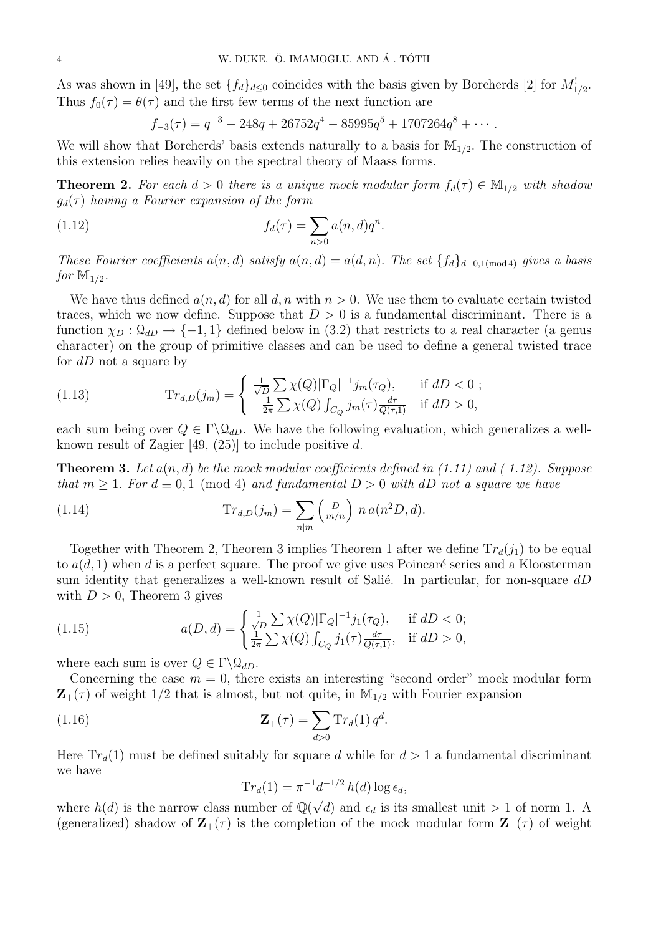As was shown in [49], the set  $\{f_d\}_{d\leq 0}$  coincides with the basis given by Borcherds [2] for  $M^!_{1/2}$ . Thus  $f_0(\tau) = \theta(\tau)$  and the first few terms of the next function are

$$
f_{-3}(\tau) = q^{-3} - 248q + 26752q^{4} - 85995q^{5} + 1707264q^{8} + \cdots
$$

We will show that Borcherds' basis extends naturally to a basis for  $\mathbb{M}_{1/2}$ . The construction of this extension relies heavily on the spectral theory of Maass forms.

**Theorem 2.** For each  $d > 0$  there is a unique mock modular form  $f_d(\tau) \in M_{1/2}$  with shadow  $g_d(\tau)$  having a Fourier expansion of the form

(1.12) 
$$
f_d(\tau) = \sum_{n>0} a(n, d) q^n.
$$

These Fourier coefficients  $a(n, d)$  satisfy  $a(n, d) = a(d, n)$ . The set  $\{f_d\}_{d \equiv 0, 1 \pmod{4}}$  gives a basis for  $\mathbb{M}_{1/2}$ .

We have thus defined  $a(n, d)$  for all d, n with  $n > 0$ . We use them to evaluate certain twisted traces, which we now define. Suppose that  $D > 0$  is a fundamental discriminant. There is a function  $\chi_D : \mathcal{Q}_{dD} \to \{-1,1\}$  defined below in (3.2) that restricts to a real character (a genus character) on the group of primitive classes and can be used to define a general twisted trace for  $dD$  not a square by

(1.13) 
$$
\mathrm{Tr}_{d,D}(j_m) = \begin{cases} \frac{1}{\sqrt{D}} \sum \chi(Q) |\Gamma_Q|^{-1} j_m(\tau_Q), & \text{if } dD < 0 ;\\ \frac{1}{2\pi} \sum \chi(Q) \int_{C_Q} j_m(\tau) \frac{d\tau}{Q(\tau,1)} & \text{if } dD > 0, \end{cases}
$$

each sum being over  $Q \in \Gamma \backslash \mathcal{Q}_{dD}$ . We have the following evaluation, which generalizes a wellknown result of Zagier  $[49, (25)]$  to include positive d.

**Theorem 3.** Let  $a(n, d)$  be the mock modular coefficients defined in (1.11) and (1.12). Suppose that  $m \geq 1$ . For  $d \equiv 0, 1 \pmod{4}$  and fundamental  $D > 0$  with dD not a square we have

(1.14) 
$$
\mathrm{Tr}_{d,D}(j_m) = \sum_{n|m} \left(\frac{D}{m/n}\right) n a(n^2 D, d).
$$

Together with Theorem 2, Theorem 3 implies Theorem 1 after we define  $Tr_d(j_1)$  to be equal to  $a(d, 1)$  when d is a perfect square. The proof we give uses Poincaré series and a Kloosterman sum identity that generalizes a well-known result of Salié. In particular, for non-square  $dD$ with  $D > 0$ , Theorem 3 gives

(1.15) 
$$
a(D,d) = \begin{cases} \frac{1}{\sqrt{D}} \sum \chi(Q) |\Gamma_Q|^{-1} j_1(\tau_Q), & \text{if } dD < 0; \\ \frac{1}{2\pi} \sum \chi(Q) \int_{C_Q} j_1(\tau) \frac{d\tau}{Q(\tau,1)}, & \text{if } dD > 0, \end{cases}
$$

where each sum is over  $Q \in \Gamma \backslash \mathcal{Q}_{dD}$ .

Concerning the case  $m = 0$ , there exists an interesting "second order" mock modular form  $\mathbf{Z}_{+}(\tau)$  of weight 1/2 that is almost, but not quite, in  $\mathbb{M}_{1/2}$  with Fourier expansion

(1.16) 
$$
\mathbf{Z}_{+}(\tau) = \sum_{d>0} \mathrm{Tr}_{d}(1) q^{d}.
$$

Here  $Tr_d(1)$  must be defined suitably for square d while for  $d > 1$  a fundamental discriminant we have

$$
\mathrm{Tr}_d(1) = \pi^{-1} d^{-1/2} h(d) \log \epsilon_d,
$$

where  $h(d)$  is the narrow class number of  $\mathbb{Q}(\sqrt{d})$ d) and  $\epsilon_d$  is its smallest unit  $> 1$  of norm 1. A (generalized) shadow of  $\mathbf{Z}_{+}(\tau)$  is the completion of the mock modular form  $\mathbf{Z}_{-}(\tau)$  of weight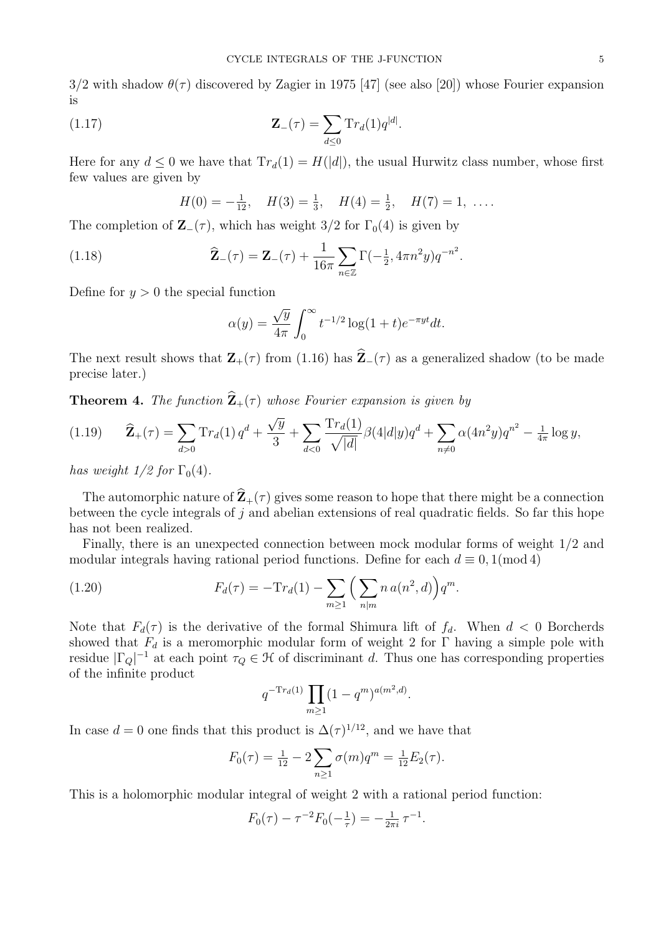$3/2$  with shadow  $\theta(\tau)$  discovered by Zagier in 1975 [47] (see also [20]) whose Fourier expansion is

(1.17) 
$$
\mathbf{Z}_{-}(\tau) = \sum_{d \leq 0} \mathrm{Tr}_{d}(1) q^{|d|}.
$$

Here for any  $d \leq 0$  we have that  $Tr_d(1) = H(|d|)$ , the usual Hurwitz class number, whose first few values are given by

$$
H(0) = -\frac{1}{12}
$$
,  $H(3) = \frac{1}{3}$ ,  $H(4) = \frac{1}{2}$ ,  $H(7) = 1$ , ...

The completion of  $\mathbf{Z}$ −( $\tau$ ), which has weight 3/2 for  $\Gamma_0(4)$  is given by

(1.18) 
$$
\widehat{\mathbf{Z}}_{-}(\tau) = \mathbf{Z}_{-}(\tau) + \frac{1}{16\pi} \sum_{n \in \mathbb{Z}} \Gamma(-\frac{1}{2}, 4\pi n^2 y) q^{-n^2}.
$$

Define for  $y > 0$  the special function

$$
\alpha(y) = \frac{\sqrt{y}}{4\pi} \int_0^\infty t^{-1/2} \log(1+t) e^{-\pi y t} dt.
$$

The next result shows that  $\mathbf{Z}_{+}(\tau)$  from (1.16) has  $\widehat{\mathbf{Z}}_{-}(\tau)$  as a generalized shadow (to be made precise later.)

**Theorem 4.** The function  $\hat{\mathbf{Z}}_+(\tau)$  whose Fourier expansion is given by

$$
(1.19) \qquad \widehat{\mathbf{Z}}_{+}(\tau) = \sum_{d>0} \mathrm{Tr}_{d}(1) q^{d} + \frac{\sqrt{y}}{3} + \sum_{d<0} \frac{\mathrm{Tr}_{d}(1)}{\sqrt{|d|}} \beta(4|d|y) q^{d} + \sum_{n \neq 0} \alpha(4n^{2}y) q^{n^{2}} - \frac{1}{4\pi} \log y,
$$

has weight  $1/2$  for  $\Gamma_0(4)$ .

The automorphic nature of  $\hat{\mathbf{Z}}_+(\tau)$  gives some reason to hope that there might be a connection between the cycle integrals of  $j$  and abelian extensions of real quadratic fields. So far this hope has not been realized.

Finally, there is an unexpected connection between mock modular forms of weight 1/2 and modular integrals having rational period functions. Define for each  $d \equiv 0, 1 \pmod{4}$ 

(1.20) 
$$
F_d(\tau) = -\mathrm{Tr}_d(1) - \sum_{m \ge 1} \left( \sum_{n|m} n a(n^2, d) \right) q^m.
$$

Note that  $F_d(\tau)$  is the derivative of the formal Shimura lift of  $f_d$ . When  $d < 0$  Borcherds showed that  $F_d$  is a meromorphic modular form of weight 2 for Γ having a simple pole with residue  $|\Gamma_Q|^{-1}$  at each point  $\tau_Q \in \mathcal{H}$  of discriminant d. Thus one has corresponding properties of the infinite product

$$
q^{-\mathrm{Tr}_d(1)} \prod_{m \ge 1} (1 - q^m)^{a(m^2, d)}.
$$

In case  $d = 0$  one finds that this product is  $\Delta(\tau)^{1/12}$ , and we have that

$$
F_0(\tau) = \frac{1}{12} - 2 \sum_{n \ge 1} \sigma(m) q^m = \frac{1}{12} E_2(\tau).
$$

This is a holomorphic modular integral of weight 2 with a rational period function:

$$
F_0(\tau) - \tau^{-2} F_0(-\tfrac{1}{\tau}) = -\tfrac{1}{2\pi i} \tau^{-1}.
$$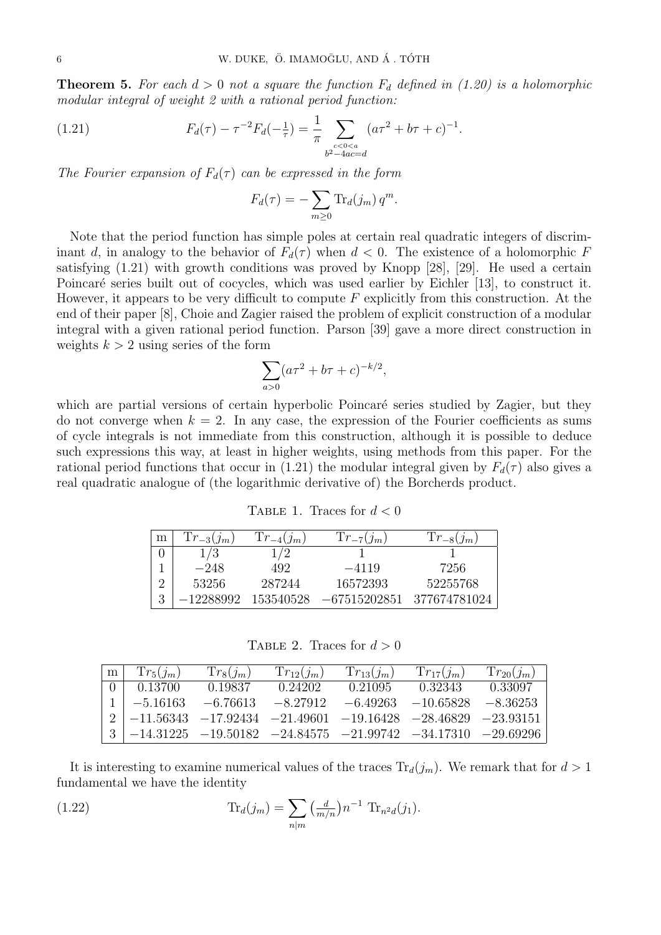**Theorem 5.** For each  $d > 0$  not a square the function  $F_d$  defined in (1.20) is a holomorphic modular integral of weight 2 with a rational period function:

(1.21) 
$$
F_d(\tau) - \tau^{-2} F_d(-\frac{1}{\tau}) = \frac{1}{\pi} \sum_{\substack{c < 0 < a \\ b^2 - 4ac = d}} (a\tau^2 + b\tau + c)^{-1}.
$$

The Fourier expansion of  $F_d(\tau)$  can be expressed in the form

$$
F_d(\tau) = -\sum_{m\geq 0} \text{Tr}_d(j_m) q^m.
$$

Note that the period function has simple poles at certain real quadratic integers of discriminant d, in analogy to the behavior of  $F_d(\tau)$  when  $d < 0$ . The existence of a holomorphic F satisfying (1.21) with growth conditions was proved by Knopp [28], [29]. He used a certain Poincaré series built out of cocycles, which was used earlier by Eichler [13], to construct it. However, it appears to be very difficult to compute  $F$  explicitly from this construction. At the end of their paper [8], Choie and Zagier raised the problem of explicit construction of a modular integral with a given rational period function. Parson [39] gave a more direct construction in weights  $k > 2$  using series of the form

$$
\sum_{a>0} (a\tau^2 + b\tau + c)^{-k/2},
$$

which are partial versions of certain hyperbolic Poincaré series studied by Zagier, but they do not converge when  $k = 2$ . In any case, the expression of the Fourier coefficients as sums of cycle integrals is not immediate from this construction, although it is possible to deduce such expressions this way, at least in higher weights, using methods from this paper. For the rational period functions that occur in (1.21) the modular integral given by  $F_d(\tau)$  also gives a real quadratic analogue of (the logarithmic derivative of) the Borcherds product.

TABLE 1. Traces for  $d < 0$ 

| m | $Tr_{-3}(j_m)$ | $Tr_{-4}(j_m)$ | $Tr_{-7}(j_m)$ | $Tr_{-8}(j_m)$ |
|---|----------------|----------------|----------------|----------------|
|   | 1/3            |                |                |                |
|   | $-248$         | 492            | $-4119$        | 7256           |
|   | 53256          | 287244         | 16572393       | 52255768       |
|   | –12288992      | 153540528      | $-67515202851$ | 377674781024   |

TABLE 2. Traces for  $d > 0$ 

| m <sub>1</sub> | $Tr_5(j_m)$                                                          | $Tr_8(j_m)$ | $Tr_{12}(j_m)$      | $Tr_{13}(j_m)$ | $Tr_{17}(i_m)$         | $Tr_{20}(j_m)$ |
|----------------|----------------------------------------------------------------------|-------------|---------------------|----------------|------------------------|----------------|
|                | $0 \perp 0.13700$                                                    | 0.19837     | 0.24202             | 0.21095        | 0.32343                | 0.33097        |
|                | $1 \mid -5.16163$                                                    |             | $-6.76613 -8.27912$ |                | $-6.49263$ $-10.65828$ | –8.36253       |
|                | $2  -11.56343 -17.92434 -21.49601 -19.16428 -28.46829 -23.93151$     |             |                     |                |                        |                |
|                | $3 \mid -14.31225 -19.50182 -24.84575 -21.99742 -34.17310 -29.69296$ |             |                     |                |                        |                |

It is interesting to examine numerical values of the traces  $\text{Tr}_d(j_m)$ . We remark that for  $d > 1$ fundamental we have the identity

(1.22) 
$$
\text{Tr}_d(j_m) = \sum_{n|m} \left(\frac{d}{m/n}\right) n^{-1} \text{Tr}_{n^2d}(j_1).
$$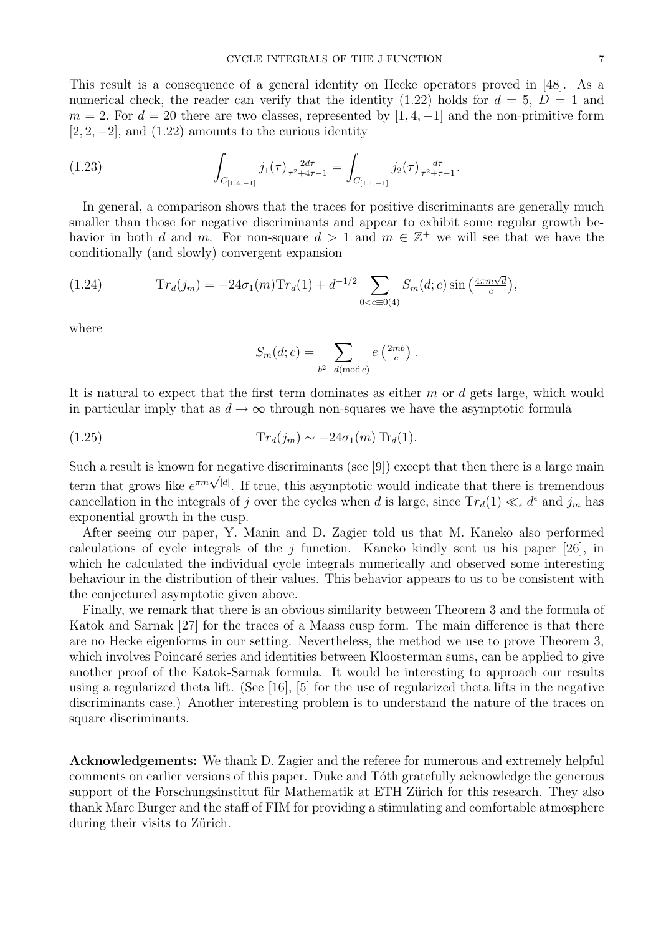This result is a consequence of a general identity on Hecke operators proved in [48]. As a numerical check, the reader can verify that the identity (1.22) holds for  $d = 5$ ,  $D = 1$  and  $m = 2$ . For  $d = 20$  there are two classes, represented by [1, 4, -1] and the non-primitive form  $[2, 2, -2]$ , and  $(1.22)$  amounts to the curious identity

(1.23) 
$$
\int_{C_{[1,4,-1]}} j_1(\tau) \frac{2d\tau}{\tau^2 + 4\tau - 1} = \int_{C_{[1,1,-1]}} j_2(\tau) \frac{d\tau}{\tau^2 + \tau - 1}.
$$

In general, a comparison shows that the traces for positive discriminants are generally much smaller than those for negative discriminants and appear to exhibit some regular growth behavior in both d and m. For non-square  $d > 1$  and  $m \in \mathbb{Z}^+$  we will see that we have the conditionally (and slowly) convergent expansion

(1.24) 
$$
\mathrm{Tr}_d(j_m) = -24\sigma_1(m)\mathrm{Tr}_d(1) + d^{-1/2} \sum_{0 < c \equiv 0(4)} S_m(d;c) \sin\left(\frac{4\pi m \sqrt{d}}{c}\right),
$$

where

$$
S_m(d;c) = \sum_{b^2 \equiv d \pmod{c}} e\left(\frac{2mb}{c}\right).
$$

It is natural to expect that the first term dominates as either m or d gets large, which would in particular imply that as  $d \to \infty$  through non-squares we have the asymptotic formula

$$
(1.25) \t\t Tr_d(j_m) \sim -24\sigma_1(m) \operatorname{Tr}_d(1).
$$

Such a result is known for negative discriminants (see [9]) except that then there is a large main Such a result is known for negative discriminants (see [9]) except that then there is a large main<br>term that grows like  $e^{\pi m \sqrt{|d|}}$ . If true, this asymptotic would indicate that there is tremendous cancellation in the integrals of j over the cycles when d is large, since  $Tr_d(1) \ll_{\epsilon} d^{\epsilon}$  and  $j_m$  has exponential growth in the cusp.

After seeing our paper, Y. Manin and D. Zagier told us that M. Kaneko also performed calculations of cycle integrals of the j function. Kaneko kindly sent us his paper [26], in which he calculated the individual cycle integrals numerically and observed some interesting behaviour in the distribution of their values. This behavior appears to us to be consistent with the conjectured asymptotic given above.

Finally, we remark that there is an obvious similarity between Theorem 3 and the formula of Katok and Sarnak [27] for the traces of a Maass cusp form. The main difference is that there are no Hecke eigenforms in our setting. Nevertheless, the method we use to prove Theorem 3, which involves Poincaré series and identities between Kloosterman sums, can be applied to give another proof of the Katok-Sarnak formula. It would be interesting to approach our results using a regularized theta lift. (See [16], [5] for the use of regularized theta lifts in the negative discriminants case.) Another interesting problem is to understand the nature of the traces on square discriminants.

Acknowledgements: We thank D. Zagier and the referee for numerous and extremely helpful comments on earlier versions of this paper. Duke and Tóth gratefully acknowledge the generous support of the Forschungsinstitut für Mathematik at ETH Zürich for this research. They also thank Marc Burger and the staff of FIM for providing a stimulating and comfortable atmosphere during their visits to Zürich.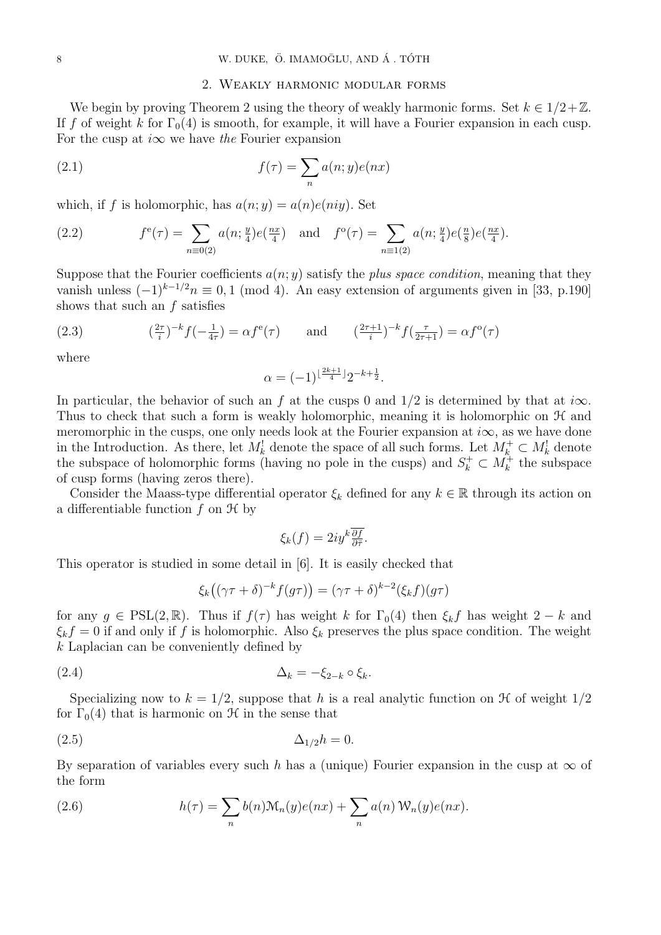### 2. Weakly harmonic modular forms

We begin by proving Theorem 2 using the theory of weakly harmonic forms. Set  $k \in 1/2+\mathbb{Z}$ . If f of weight k for  $\Gamma_0(4)$  is smooth, for example, it will have a Fourier expansion in each cusp. For the cusp at  $i\infty$  we have the Fourier expansion

(2.1) 
$$
f(\tau) = \sum_{n} a(n; y)e(nx)
$$

which, if f is holomorphic, has  $a(n; y) = a(n)e(niy)$ . Set

(2.2) 
$$
f^{e}(\tau) = \sum_{n \equiv 0(2)} a(n; \frac{y}{4}) e(\frac{nx}{4}) \text{ and } f^{o}(\tau) = \sum_{n \equiv 1(2)} a(n; \frac{y}{4}) e(\frac{nx}{8}) e(\frac{nx}{4}).
$$

Suppose that the Fourier coefficients  $a(n; y)$  satisfy the plus space condition, meaning that they vanish unless  $(-1)^{k-1/2}n \equiv 0, 1 \pmod{4}$ . An easy extension of arguments given in [33, p.190] shows that such an f satisfies

(2.3) 
$$
\left(\frac{2\tau}{i}\right)^{-k} f\left(-\frac{1}{4\tau}\right) = \alpha f^{e}(\tau) \quad \text{and} \quad \left(\frac{2\tau+1}{i}\right)^{-k} f\left(\frac{\tau}{2\tau+1}\right) = \alpha f^{o}(\tau)
$$

where

$$
\alpha = (-1)^{\lfloor \frac{2k+1}{4} \rfloor} 2^{-k + \frac{1}{2}}.
$$

In particular, the behavior of such an f at the cusps 0 and  $1/2$  is determined by that at i $\infty$ . Thus to check that such a form is weakly holomorphic, meaning it is holomorphic on  $\mathcal{H}$  and meromorphic in the cusps, one only needs look at the Fourier expansion at  $i\infty$ , as we have done in the Introduction. As there, let  $M_k^!$  denote the space of all such forms. Let  $M_k^+ \subset M_k^!$  denote the subspace of holomorphic forms (having no pole in the cusps) and  $S_k^+ \subset M_k^+$  the subspace of cusp forms (having zeros there).

Consider the Maass-type differential operator  $\xi_k$  defined for any  $k \in \mathbb{R}$  through its action on a differentiable function  $f$  on  $\mathcal{H}$  by

$$
\xi_k(f) = 2iy^k \frac{\overline{\partial f}}{\partial \overline{\tau}}.
$$

This operator is studied in some detail in [6]. It is easily checked that

$$
\xi_k((\gamma \tau + \delta)^{-k} f(g\tau)) = (\gamma \tau + \delta)^{k-2} (\xi_k f)(g\tau)
$$

for any  $g \in \text{PSL}(2,\mathbb{R})$ . Thus if  $f(\tau)$  has weight k for  $\Gamma_0(4)$  then  $\xi_k f$  has weight  $2-k$  and  $\xi_k f = 0$  if and only if f is holomorphic. Also  $\xi_k$  preserves the plus space condition. The weight k Laplacian can be conveniently defined by

$$
\Delta_k = -\xi_{2-k} \circ \xi_k.
$$

Specializing now to  $k = 1/2$ , suppose that h is a real analytic function on H of weight  $1/2$ for  $\Gamma_0(4)$  that is harmonic on  $\mathcal H$  in the sense that

$$
\Delta_{1/2}h = 0.
$$

By separation of variables every such h has a (unique) Fourier expansion in the cusp at  $\infty$  of the form

(2.6) 
$$
h(\tau) = \sum_{n} b(n) \mathcal{M}_n(y) e(nx) + \sum_{n} a(n) \mathcal{W}_n(y) e(nx).
$$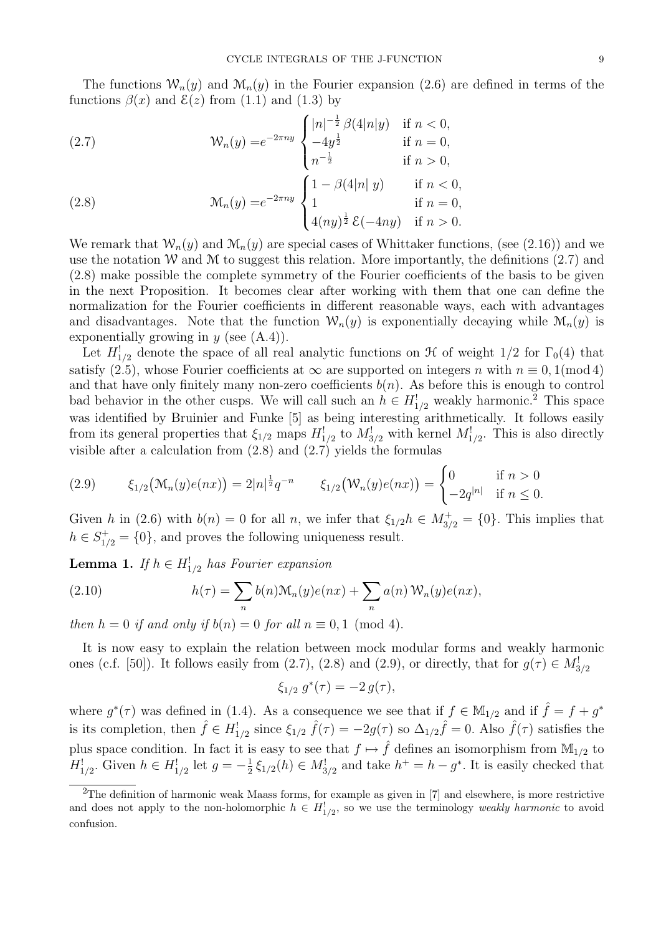The functions  $W_n(y)$  and  $M_n(y)$  in the Fourier expansion (2.6) are defined in terms of the functions  $\beta(x)$  and  $\xi(z)$  from (1.1) and (1.3) by

(2.7) 
$$
\mathcal{W}_n(y) = e^{-2\pi ny} \begin{cases} |n|^{-\frac{1}{2}} \beta(4|n|y) & \text{if } n < 0, \\ -4y^{\frac{1}{2}} & \text{if } n = 0, \\ n^{-\frac{1}{2}} & \text{if } n > 0, \end{cases}
$$

(2.8) 
$$
\mathcal{M}_n(y) = e^{-2\pi ny} \begin{cases} 1 - \beta(4|n|y) & \text{if } n < 0, \\ 1 & \text{if } n = 0, \\ 4(ny)^{\frac{1}{2}} \mathcal{E}(-4ny) & \text{if } n > 0. \end{cases}
$$

We remark that  $W_n(y)$  and  $M_n(y)$  are special cases of Whittaker functions, (see (2.16)) and we use the notation W and M to suggest this relation. More importantly, the definitions  $(2.7)$  and (2.8) make possible the complete symmetry of the Fourier coefficients of the basis to be given in the next Proposition. It becomes clear after working with them that one can define the normalization for the Fourier coefficients in different reasonable ways, each with advantages and disadvantages. Note that the function  $W_n(y)$  is exponentially decaying while  $\mathcal{M}_n(y)$  is exponentially growing in  $y$  (see  $(A.4)$ ).

Let  $H_{1/2}^!$  denote the space of all real analytic functions on  $\mathcal H$  of weight  $1/2$  for  $\Gamma_0(4)$  that satisfy (2.5), whose Fourier coefficients at  $\infty$  are supported on integers n with  $n \equiv 0.1 \pmod{4}$ and that have only finitely many non-zero coefficients  $b(n)$ . As before this is enough to control bad behavior in the other cusps. We will call such an  $h \in H_{1/2}^!$  weakly harmonic.<sup>2</sup> This space was identified by Bruinier and Funke [5] as being interesting arithmetically. It follows easily from its general properties that  $\xi_{1/2}$  maps  $H_{1/2}^!$  to  $M_{3/2}^!$  with kernel  $M_{1/2}^!$ . This is also directly visible after a calculation from  $(2.8)$  and  $(2.7)$  yields the formulas

$$
(2.9) \qquad \xi_{1/2}(\mathcal{M}_n(y)e(nx)) = 2|n|^{\frac{1}{2}}q^{-n} \qquad \xi_{1/2}(\mathcal{W}_n(y)e(nx)) = \begin{cases} 0 & \text{if } n > 0\\ -2q^{|n|} & \text{if } n \le 0. \end{cases}
$$

Given h in (2.6) with  $b(n) = 0$  for all n, we infer that  $\xi_{1/2} h \in M_{3/2}^+ = \{0\}$ . This implies that  $h \in S^+_{1/2} = \{0\}$ , and proves the following uniqueness result.

**Lemma 1.** If  $h \in H_{1/2}^!$  has Fourier expansion

(2.10) 
$$
h(\tau) = \sum_{n} b(n) \mathcal{M}_n(y) e(nx) + \sum_{n} a(n) \mathcal{W}_n(y) e(nx),
$$

then  $h = 0$  if and only if  $b(n) = 0$  for all  $n \equiv 0, 1 \pmod{4}$ .

It is now easy to explain the relation between mock modular forms and weakly harmonic ones (c.f. [50]). It follows easily from (2.7), (2.8) and (2.9), or directly, that for  $g(\tau) \in M_{3/2}^!$ 

$$
\xi_{1/2} g^*(\tau) = -2 g(\tau),
$$

where  $g^*(\tau)$  was defined in (1.4). As a consequence we see that if  $f \in M_{1/2}$  and if  $\hat{f} = f + g^*$ is its completion, then  $\hat{f} \in H^1_{1/2}$  since  $\xi_{1/2} \hat{f}(\tau) = -2g(\tau)$  so  $\Delta_{1/2} \hat{f} = 0$ . Also  $\hat{f}(\tau)$  satisfies the plus space condition. In fact it is easy to see that  $f \mapsto \hat{f}$  defines an isomorphism from  $\mathbb{M}_{1/2}$  to  $H_{1/2}^!$ . Given  $h \in H_{1/2}^!$  let  $g = -\frac{1}{2}$  $\frac{1}{2}\xi_{1/2}(h) \in M_{3/2}^!$  and take  $h^+ = h - g^*$ . It is easily checked that

<sup>&</sup>lt;sup>2</sup>The definition of harmonic weak Maass forms, for example as given in [7] and elsewhere, is more restrictive and does not apply to the non-holomorphic  $h \in H^1_{1/2}$ , so we use the terminology weakly harmonic to avoid confusion.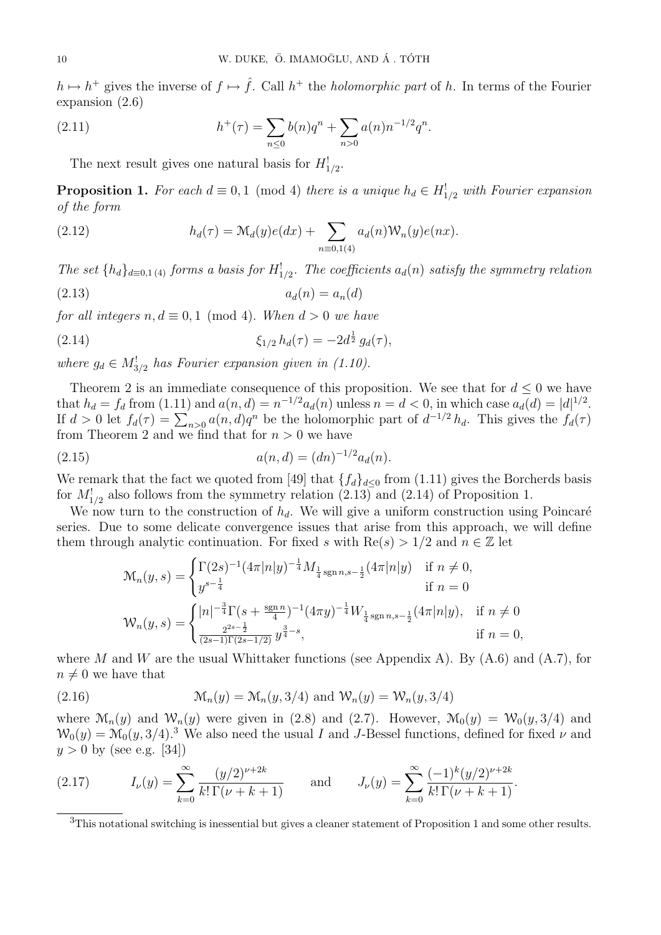$h \mapsto h^+$  gives the inverse of  $f \mapsto \hat{f}$ . Call  $h^+$  the *holomorphic part* of h. In terms of the Fourier expansion (2.6)

(2.11) 
$$
h^+(\tau) = \sum_{n \leq 0} b(n)q^n + \sum_{n > 0} a(n)n^{-1/2}q^n.
$$

The next result gives one natural basis for  $H_{1/2}^!$ .

**Proposition 1.** For each  $d \equiv 0, 1 \pmod{4}$  there is a unique  $h_d \in H_{1/2}^!$  with Fourier expansion of the form

(2.12) 
$$
h_d(\tau) = \mathcal{M}_d(y)e(dx) + \sum_{n \equiv 0,1(4)} a_d(n)\mathcal{W}_n(y)e(nx).
$$

The set  $\{h_d\}_{d=0,1\,(4)}$  forms a basis for  $H^!_{1/2}$ . The coefficients  $a_d(n)$  satisfy the symmetry relation

$$
(2.13) \t\t a_d(n) = a_n(d)
$$

for all integers  $n, d \equiv 0, 1 \pmod{4}$ . When  $d > 0$  we have

(2.14) 
$$
\xi_{1/2} h_d(\tau) = -2d^{\frac{1}{2}} g_d(\tau),
$$

where  $g_d \in M_{3/2}^!$  has Fourier expansion given in (1.10).

Theorem 2 is an immediate consequence of this proposition. We see that for  $d \leq 0$  we have that  $h_d = f_d$  from (1.11) and  $a(n, d) = n^{-1/2} a_d(n)$  unless  $n = d < 0$ , in which case  $a_d(d) = |d|^{1/2}$ . If  $d > 0$  let  $f_d(\tau) = \sum_{n>0} a(n,d)q^n$  be the holomorphic part of  $d^{-1/2} h_d$ . This gives the  $f_d(\tau)$ from Theorem 2 and we find that for  $n > 0$  we have

(2.15) 
$$
a(n,d) = (dn)^{-1/2} a_d(n).
$$

We remark that the fact we quoted from [49] that  $\{f_d\}_{d\leq 0}$  from (1.11) gives the Borcherds basis for  $M_{1/2}^!$  also follows from the symmetry relation (2.13) and (2.14) of Proposition 1.

We now turn to the construction of  $h_d$ . We will give a uniform construction using Poincaré series. Due to some delicate convergence issues that arise from this approach, we will define them through analytic continuation. For fixed s with  $\text{Re}(s) > 1/2$  and  $n \in \mathbb{Z}$  let

$$
\mathcal{M}_n(y,s) = \begin{cases} \Gamma(2s)^{-1} (4\pi |n|y)^{-\frac{1}{4}} M_{\frac{1}{4} \operatorname{sgn} n, s - \frac{1}{2}} (4\pi |n|y) & \text{if } n \neq 0, \\ y^{s - \frac{1}{4}} & \text{if } n = 0 \end{cases}
$$
  

$$
\mathcal{W}_n(y,s) = \begin{cases} |n|^{-\frac{3}{4}} \Gamma(s + \frac{\operatorname{sgn} n}{4})^{-1} (4\pi y)^{-\frac{1}{4}} W_{\frac{1}{4} \operatorname{sgn} n, s - \frac{1}{2}} (4\pi |n|y), & \text{if } n \neq 0 \\ \frac{2^{2s - \frac{1}{2}}}{(2s - 1)\Gamma(2s - 1/2)} y^{\frac{3}{4} - s}, & \text{if } n = 0, \end{cases}
$$

where M and W are the usual Whittaker functions (see Appendix A). By  $(A.6)$  and  $(A.7)$ , for  $n \neq 0$  we have that

(2.16) 
$$
\mathcal{M}_n(y) = \mathcal{M}_n(y, 3/4) \text{ and } \mathcal{W}_n(y) = \mathcal{W}_n(y, 3/4)
$$

where  $\mathcal{M}_n(y)$  and  $\mathcal{W}_n(y)$  were given in (2.8) and (2.7). However,  $\mathcal{M}_0(y) = \mathcal{W}_0(y, 3/4)$  and  $W_0(y) = M_0(y, 3/4)$ .<sup>3</sup> We also need the usual I and J-Bessel functions, defined for fixed  $\nu$  and  $y > 0$  by (see e.g. [34])

(2.17) 
$$
I_{\nu}(y) = \sum_{k=0}^{\infty} \frac{(y/2)^{\nu+2k}}{k!\,\Gamma(\nu+k+1)} \quad \text{and} \quad J_{\nu}(y) = \sum_{k=0}^{\infty} \frac{(-1)^k(y/2)^{\nu+2k}}{k!\,\Gamma(\nu+k+1)}.
$$

 $3$ This notational switching is inessential but gives a cleaner statement of Proposition 1 and some other results.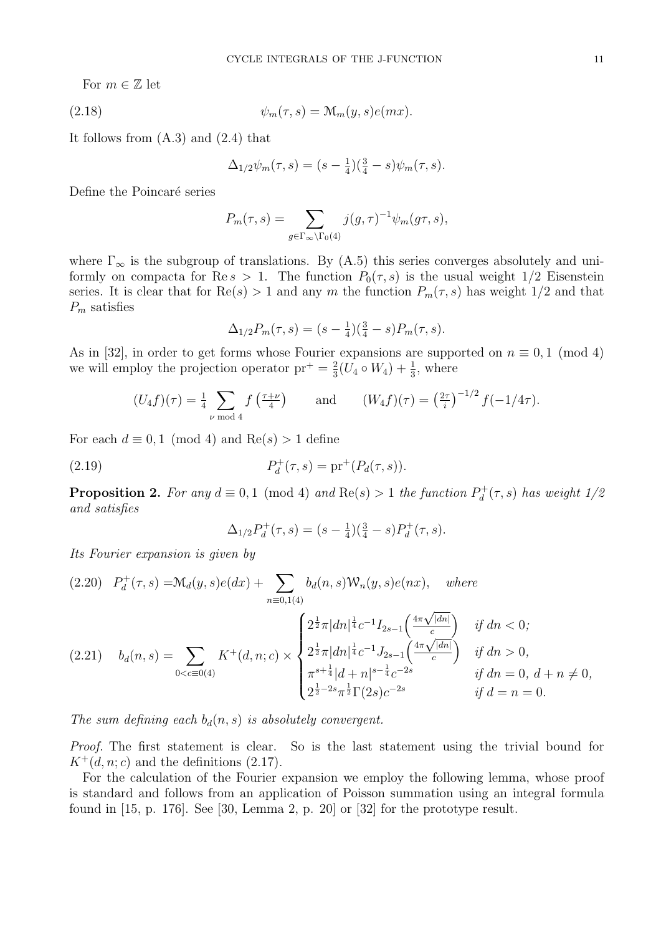For  $m \in \mathbb{Z}$  let

(2.18) 
$$
\psi_m(\tau, s) = \mathcal{M}_m(y, s)e(mx).
$$

It follows from  $(A.3)$  and  $(2.4)$  that

$$
\Delta_{1/2}\psi_m(\tau,s) = (s - \frac{1}{4})(\frac{3}{4} - s)\psi_m(\tau,s).
$$

Define the Poincaré series

$$
P_m(\tau, s) = \sum_{g \in \Gamma_{\infty} \backslash \Gamma_0(4)} j(g, \tau)^{-1} \psi_m(g\tau, s),
$$

where  $\Gamma_{\infty}$  is the subgroup of translations. By (A.5) this series converges absolutely and uniformly on compacta for Re s > 1. The function  $P_0(\tau, s)$  is the usual weight 1/2 Eisenstein series. It is clear that for  $\text{Re}(s) > 1$  and any m the function  $P_m(\tau, s)$  has weight 1/2 and that  $P_m$  satisfies

$$
\Delta_{1/2}P_m(\tau,s) = (s - \frac{1}{4})(\frac{3}{4} - s)P_m(\tau,s).
$$

As in [32], in order to get forms whose Fourier expansions are supported on  $n \equiv 0, 1 \pmod{4}$ we will employ the projection operator  $pr^+ = \frac{2}{3}$  $\frac{2}{3}(U_4 \circ W_4) + \frac{1}{3}$ , where

$$
(U_4f)(\tau) = \frac{1}{4} \sum_{\nu \bmod 4} f\left(\frac{\tau+\nu}{4}\right) \quad \text{and} \quad (W_4f)(\tau) = \left(\frac{2\tau}{i}\right)^{-1/2} f(-1/4\tau).
$$

For each  $d \equiv 0, 1 \pmod{4}$  and  $\text{Re}(s) > 1$  define

(2.19) 
$$
P_d^+(\tau, s) = \text{pr}^+(P_d(\tau, s)).
$$

**Proposition 2.** For any  $d \equiv 0, 1 \pmod{4}$  and  $Re(s) > 1$  the function  $P_d^+$  $\theta_d^{+}(\tau,s)$  has weight 1/2 and satisfies

$$
\Delta_{1/2}P_d^+(\tau,s) = (s - \frac{1}{4})(\frac{3}{4} - s)P_d^+(\tau,s).
$$

Its Fourier expansion is given by

$$
(2.20) \quad P_d^+(\tau, s) = \mathcal{M}_d(y, s)e(dx) + \sum_{n \equiv 0, 1(4)} b_d(n, s)\mathcal{W}_n(y, s)e(nx), \quad where
$$
\n
$$
(2.21) \quad b_d(n, s) = \sum_{0 < c \equiv 0(4)} K^+(d, n; c) \times \begin{cases} 2^{\frac{1}{2}}\pi |dn|^{\frac{1}{4}}c^{-1}I_{2s-1}\left(\frac{4\pi\sqrt{|dn|}}{c}\right) & \text{if } dn < 0; \\ 2^{\frac{1}{2}}\pi |dn|^{\frac{1}{4}}c^{-1}J_{2s-1}\left(\frac{4\pi\sqrt{|dn|}}{c}\right) & \text{if } dn > 0, \\ \pi^{s+\frac{1}{4}}|d+n|^{s-\frac{1}{4}}c^{-2s} & \text{if } dn = 0, \ d+n \neq 0, \\ 2^{\frac{1}{2}-2s}\pi^{\frac{1}{2}}\Gamma(2s)c^{-2s} & \text{if } d=n = 0. \end{cases}
$$

The sum defining each  $b_d(n, s)$  is absolutely convergent.

Proof. The first statement is clear. So is the last statement using the trivial bound for  $K^+(d, n; c)$  and the definitions (2.17).

For the calculation of the Fourier expansion we employ the following lemma, whose proof is standard and follows from an application of Poisson summation using an integral formula found in [15, p. 176]. See [30, Lemma 2, p. 20] or [32] for the prototype result.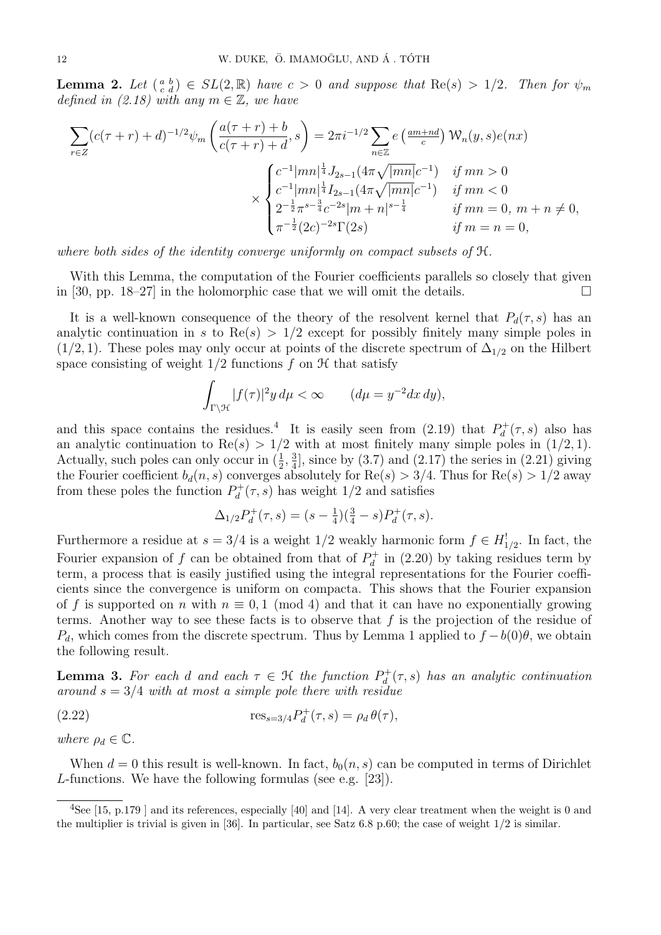**Lemma 2.** Let  $\begin{pmatrix} a & b \\ c & d \end{pmatrix} \in SL(2, \mathbb{R})$  have  $c > 0$  and suppose that  $\text{Re}(s) > 1/2$ . Then for  $\psi_m$ defined in (2.18) with any  $m \in \mathbb{Z}$ , we have

$$
\sum_{r \in Z} (c(\tau + r) + d)^{-1/2} \psi_m \left( \frac{a(\tau + r) + b}{c(\tau + r) + d}, s \right) = 2\pi i^{-1/2} \sum_{n \in \mathbb{Z}} e \left( \frac{am + nd}{c} \right) W_n(y, s) e(nx)
$$
\n
$$
\times \begin{cases}\n c^{-1} |mn|^{\frac{1}{4}} J_{2s-1} (4\pi \sqrt{|mn|} c^{-1}) & \text{if } mn > 0 \\
c^{-1} |mn|^{\frac{1}{4}} I_{2s-1} (4\pi \sqrt{|mn|} c^{-1}) & \text{if } mn < 0 \\
2^{-\frac{1}{2}} \pi^{s-\frac{3}{4}} c^{-2s} |m + n|^{s-\frac{1}{4}} & \text{if } mn = 0, m + n \neq 0, \\
\pi^{-\frac{1}{2}} (2c)^{-2s} \Gamma(2s) & \text{if } m = n = 0,\n\end{cases}
$$

where both sides of the identity converge uniformly on compact subsets of  $H$ .

With this Lemma, the computation of the Fourier coefficients parallels so closely that given in [30, pp. 18–27] in the holomorphic case that we will omit the details.  $\square$ 

It is a well-known consequence of the theory of the resolvent kernel that  $P_d(\tau, s)$  has an analytic continuation in s to  $\text{Re}(s) > 1/2$  except for possibly finitely many simple poles in  $(1/2, 1)$ . These poles may only occur at points of the discrete spectrum of  $\Delta_{1/2}$  on the Hilbert space consisting of weight  $1/2$  functions f on  $H$  that satisfy

$$
\int_{\Gamma \backslash \mathcal{H}} |f(\tau)|^2 y \, d\mu < \infty \qquad (d\mu = y^{-2} dx \, dy),
$$

and this space contains the residues.<sup>4</sup> It is easily seen from (2.19) that  $P_d^+$  $b_d^+(\tau,s)$  also has an analytic continuation to Re(s) >  $1/2$  with at most finitely many simple poles in (1/2, 1). Actually, such poles can only occur in  $(\frac{1}{2}, \frac{3}{4})$  $\frac{3}{4}$ , since by (3.7) and (2.17) the series in (2.21) giving the Fourier coefficient  $b_d(n, s)$  converges absolutely for  $\text{Re}(s) > 3/4$ . Thus for  $\text{Re}(s) > 1/2$  away from these poles the function  $P_d^+$  $\partial_d^+(\tau, s)$  has weight  $1/2$  and satisfies

$$
\Delta_{1/2}P_d^+(\tau,s) = (s - \frac{1}{4})(\frac{3}{4} - s)P_d^+(\tau,s).
$$

Furthermore a residue at  $s = 3/4$  is a weight 1/2 weakly harmonic form  $f \in H_{1/2}^!$ . In fact, the Fourier expansion of f can be obtained from that of  $P_d^+$  $\mathcal{Q}_d^+$  in (2.20) by taking residues term by term, a process that is easily justified using the integral representations for the Fourier coefficients since the convergence is uniform on compacta. This shows that the Fourier expansion of f is supported on n with  $n \equiv 0, 1 \pmod{4}$  and that it can have no exponentially growing terms. Another way to see these facts is to observe that  $f$  is the projection of the residue of  $P_d$ , which comes from the discrete spectrum. Thus by Lemma 1 applied to  $f - b(0)\theta$ , we obtain the following result.

**Lemma 3.** For each d and each  $\tau \in \mathcal{H}$  the function  $P_d^+$  $\partial_d^+(\tau,s)$  has an analytic continuation around  $s = 3/4$  with at most a simple pole there with residue

(2.22) 
$$
\text{res}_{s=3/4} P_d^+(\tau, s) = \rho_d \theta(\tau),
$$

where  $\rho_d \in \mathbb{C}$ .

When  $d = 0$  this result is well-known. In fact,  $b_0(n, s)$  can be computed in terms of Dirichlet L-functions. We have the following formulas (see e.g. [23]).

 $^{4}$ See [15, p.179] and its references, especially [40] and [14]. A very clear treatment when the weight is 0 and the multiplier is trivial is given in [36]. In particular, see Satz  $6.8$  p.60; the case of weight  $1/2$  is similar.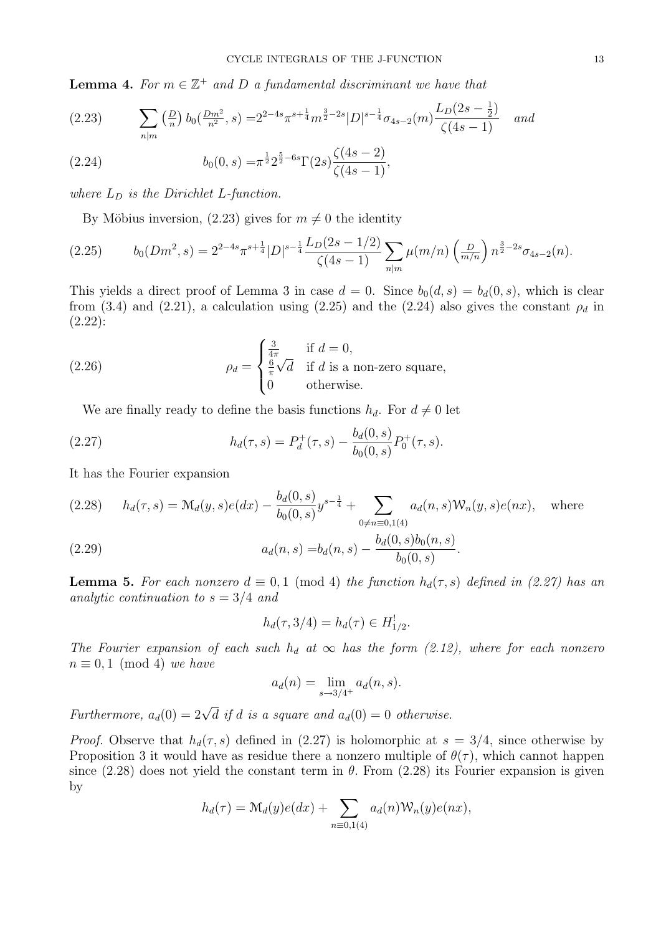**Lemma 4.** For  $m \in \mathbb{Z}^+$  and D a fundamental discriminant we have that

$$
(2.23) \qquad \sum_{n|m} \left(\frac{D}{n}\right) b_0\left(\frac{Dm^2}{n^2}, s\right) = 2^{2-4s} \pi^{s + \frac{1}{4}} m^{\frac{3}{2} - 2s} |D|^{s - \frac{1}{4}} \sigma_{4s - 2}(m) \frac{L_D(2s - \frac{1}{2})}{\zeta(4s - 1)} \quad \text{and}
$$

(2.24) 
$$
b_0(0,s) = \pi^{\frac{1}{2}} 2^{\frac{5}{2} - 6s} \Gamma(2s) \frac{\zeta(4s-2)}{\zeta(4s-1)},
$$

where  $L_D$  is the Dirichlet L-function.

By Möbius inversion, (2.23) gives for  $m \neq 0$  the identity

$$
(2.25) \t b_0(Dm^2, s) = 2^{2-4s} \pi^{s+\frac{1}{4}} |D|^{s-\frac{1}{4}} \frac{L_D(2s-1/2)}{\zeta(4s-1)} \sum_{n|m} \mu(m/n) \left(\frac{D}{m/n}\right) n^{\frac{3}{2}-2s} \sigma_{4s-2}(n).
$$

This yields a direct proof of Lemma 3 in case  $d = 0$ . Since  $b_0(d, s) = b_d(0, s)$ , which is clear from (3.4) and (2.21), a calculation using (2.25) and the (2.24) also gives the constant  $\rho_d$  in (2.22):

(2.26) 
$$
\rho_d = \begin{cases} \frac{3}{4\pi} & \text{if } d = 0, \\ \frac{6}{\pi}\sqrt{d} & \text{if } d \text{ is a non-zero square,} \\ 0 & \text{otherwise.} \end{cases}
$$

We are finally ready to define the basis functions  $h_d$ . For  $d \neq 0$  let

(2.27) 
$$
h_d(\tau, s) = P_d^+(\tau, s) - \frac{b_d(0, s)}{b_0(0, s)} P_0^+(\tau, s).
$$

It has the Fourier expansion

$$
(2.28) \t h_d(\tau, s) = \mathcal{M}_d(y, s)e(dx) - \frac{b_d(0, s)}{b_0(0, s)} y^{s - \frac{1}{4}} + \sum_{0 \neq n \equiv 0, 1(4)} a_d(n, s) \mathcal{W}_n(y, s)e(nx), \text{ where}
$$

(2.29) 
$$
a_d(n,s) = b_d(n,s) - \frac{b_d(0,s)b_0(n,s)}{b_0(0,s)}.
$$

**Lemma 5.** For each nonzero  $d \equiv 0, 1 \pmod{4}$  the function  $h_d(\tau, s)$  defined in (2.27) has an analytic continuation to  $s = 3/4$  and

$$
h_d(\tau, 3/4) = h_d(\tau) \in H^!_{1/2}.
$$

The Fourier expansion of each such  $h_d$  at  $\infty$  has the form (2.12), where for each nonzero  $n \equiv 0, 1 \pmod{4}$  we have

$$
a_d(n) = \lim_{s \to 3/4^+} a_d(n, s).
$$

Furthermore,  $a_d(0) = 2\sqrt{d}$  if d is a square and  $a_d(0) = 0$  otherwise.

*Proof.* Observe that  $h_d(\tau, s)$  defined in (2.27) is holomorphic at  $s = 3/4$ , since otherwise by Proposition 3 it would have as residue there a nonzero multiple of  $\theta(\tau)$ , which cannot happen since (2.28) does not yield the constant term in  $\theta$ . From (2.28) its Fourier expansion is given by

$$
h_d(\tau) = \mathcal{M}_d(y)e(dx) + \sum_{n \equiv 0,1(4)} a_d(n)\mathcal{W}_n(y)e(nx),
$$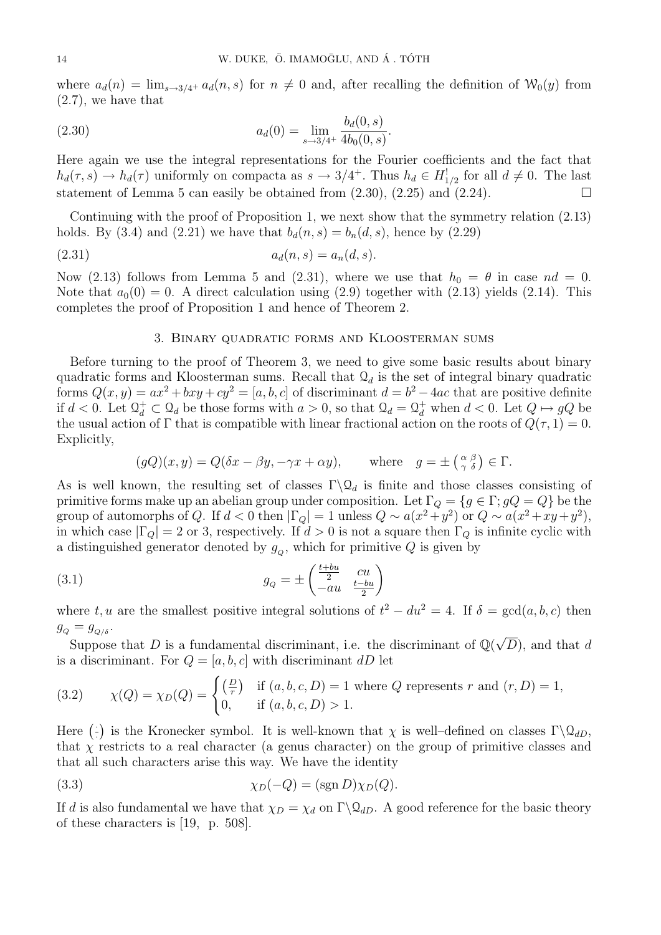where  $a_d(n) = \lim_{s\to 3/4^+} a_d(n, s)$  for  $n \neq 0$  and, after recalling the definition of  $\mathcal{W}_0(y)$  from (2.7), we have that

(2.30) 
$$
a_d(0) = \lim_{s \to 3/4^+} \frac{b_d(0, s)}{4b_0(0, s)}.
$$

Here again we use the integral representations for the Fourier coefficients and the fact that  $h_d(\tau, s) \to h_d(\tau)$  uniformly on compacta as  $s \to 3/4^+$ . Thus  $h_d \in H_{1/2}^!$  for all  $d \neq 0$ . The last statement of Lemma 5 can easily be obtained from  $(2.30)$ ,  $(2.25)$  and  $(2.24)$ .

Continuing with the proof of Proposition 1, we next show that the symmetry relation (2.13) holds. By (3.4) and (2.21) we have that  $b_d(n, s) = b_n(d, s)$ , hence by (2.29)

(2.31) 
$$
a_d(n,s) = a_n(d,s).
$$

Now (2.13) follows from Lemma 5 and (2.31), where we use that  $h_0 = \theta$  in case  $nd = 0$ . Note that  $a_0(0) = 0$ . A direct calculation using (2.9) together with (2.13) yields (2.14). This completes the proof of Proposition 1 and hence of Theorem 2.

### 3. Binary quadratic forms and Kloosterman sums

Before turning to the proof of Theorem 3, we need to give some basic results about binary quadratic forms and Kloosterman sums. Recall that  $\mathcal{Q}_d$  is the set of integral binary quadratic forms  $Q(x, y) = ax^2 + bxy + cy^2 = [a, b, c]$  of discriminant  $d = b^2 - 4ac$  that are positive definite if  $d < 0$ . Let  $\mathcal{Q}^+_d \subset \mathcal{Q}_d$  be those forms with  $a > 0$ , so that  $\mathcal{Q}_d = \mathcal{Q}^+_d$  when  $d < 0$ . Let  $Q \mapsto qQ$  be the usual action of  $\Gamma$  that is compatible with linear fractional action on the roots of  $Q(\tau, 1) = 0$ . Explicitly,

$$
(gQ)(x, y) = Q(\delta x - \beta y, -\gamma x + \alpha y),
$$
 where  $g = \pm \left(\begin{smallmatrix} \alpha & \beta \\ \gamma & \delta \end{smallmatrix}\right) \in \Gamma.$ 

As is well known, the resulting set of classes  $\Gamma \backslash \mathcal{Q}_d$  is finite and those classes consisting of primitive forms make up an abelian group under composition. Let  $\Gamma_Q = \{g \in \Gamma : gQ = Q\}$  be the group of automorphs of Q. If  $d < 0$  then  $|\Gamma_Q| = 1$  unless  $Q \sim a(x^2 + y^2)$  or  $Q \sim a(x^2 + xy + y^2)$ , in which case  $|\Gamma_Q| = 2$  or 3, respectively. If  $d > 0$  is not a square then  $\Gamma_Q$  is infinite cyclic with a distinguished generator denoted by  $g_Q$ , which for primitive  $Q$  is given by

(3.1) 
$$
g_Q = \pm \begin{pmatrix} \frac{t+bu}{2} & cu\\ -au & \frac{t-bu}{2} \end{pmatrix}
$$

where t, u are the smallest positive integral solutions of  $t^2 - du^2 = 4$ . If  $\delta = \gcd(a, b, c)$  then  $g_Q = g_{Q/\delta}$ .

 $-g_{Q/\delta}$ .<br>Suppose that D is a fundamental discriminant, i.e. the discriminant of  $\mathbb{Q}(\sqrt{\frac{2}{n}})$  $(D)$ , and that d is a discriminant. For  $Q = [a, b, c]$  with discriminant dD let

(3.2) 
$$
\chi(Q) = \chi_D(Q) = \begin{cases} \left(\frac{D}{r}\right) & \text{if } (a, b, c, D) = 1 \text{ where } Q \text{ represents } r \text{ and } (r, D) = 1, \\ 0, & \text{if } (a, b, c, D) > 1. \end{cases}
$$

Here  $\left(\frac{1}{2}\right)$  $\{\cdot\}$  is the Kronecker symbol. It is well-known that  $\chi$  is well-defined on classes  $\Gamma\backslash\mathcal{Q}_{dD}$ , that  $\chi$  restricts to a real character (a genus character) on the group of primitive classes and that all such characters arise this way. We have the identity

(3.3) 
$$
\chi_D(-Q) = (\text{sgn } D)\chi_D(Q).
$$

If d is also fundamental we have that  $\chi_D = \chi_d$  on  $\Gamma \backslash \mathcal{Q}_{dD}$ . A good reference for the basic theory of these characters is [19, p. 508].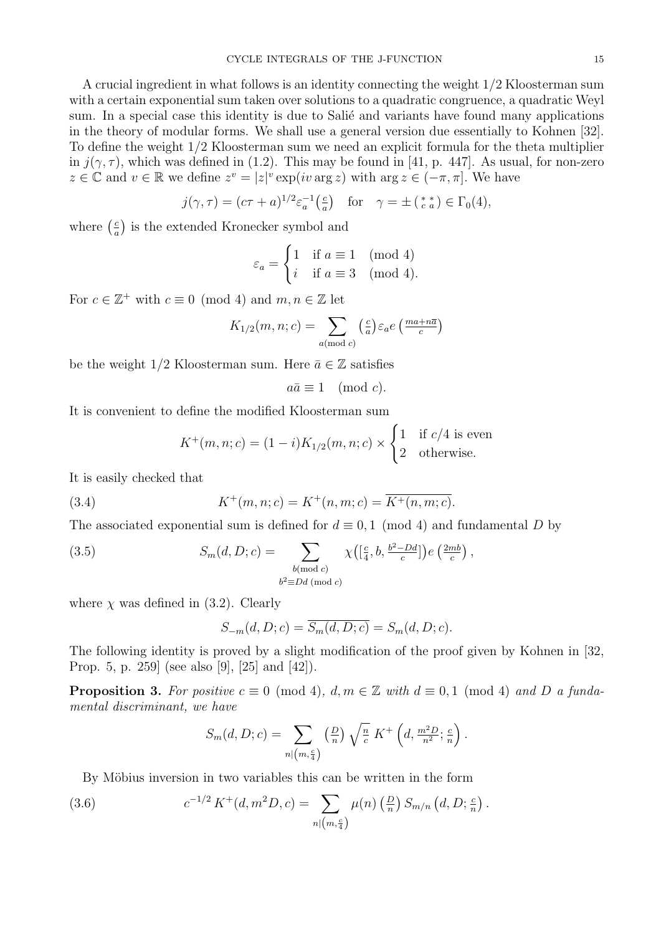A crucial ingredient in what follows is an identity connecting the weight 1/2 Kloosterman sum with a certain exponential sum taken over solutions to a quadratic congruence, a quadratic Weyl sum. In a special case this identity is due to Salie and variants have found many applications in the theory of modular forms. We shall use a general version due essentially to Kohnen [32]. To define the weight 1/2 Kloosterman sum we need an explicit formula for the theta multiplier in  $j(\gamma, \tau)$ , which was defined in (1.2). This may be found in [41, p. 447]. As usual, for non-zero  $z \in \mathbb{C}$  and  $v \in \mathbb{R}$  we define  $z^v = |z|^v \exp(iv \arg z)$  with  $\arg z \in (-\pi, \pi]$ . We have

$$
j(\gamma, \tau) = (c\tau + a)^{1/2} \varepsilon_a^{-1} \left( \frac{c}{a} \right) \quad \text{for} \quad \gamma = \pm \left( \frac{d}{c} \right) \in \Gamma_0(4),
$$

where  $\left(\frac{c}{a}\right)$  $\frac{c}{a}$ ) is the extended Kronecker symbol and

$$
\varepsilon_a = \begin{cases} 1 & \text{if } a \equiv 1 \pmod{4} \\ i & \text{if } a \equiv 3 \pmod{4}. \end{cases}
$$

For  $c \in \mathbb{Z}^+$  with  $c \equiv 0 \pmod{4}$  and  $m, n \in \mathbb{Z}$  let

$$
K_{1/2}(m, n; c) = \sum_{a \text{ (mod } c)} \left(\frac{c}{a}\right) \varepsilon_a e \left(\frac{ma + n\overline{a}}{c}\right)
$$

be the weight 1/2 Kloosterman sum. Here  $\bar{a} \in \mathbb{Z}$  satisfies

$$
a\bar{a} \equiv 1 \pmod{c}.
$$

It is convenient to define the modified Kloosterman sum

$$
K^+(m, n; c) = (1 - i)K_{1/2}(m, n; c) \times \begin{cases} 1 & \text{if } c/4 \text{ is even} \\ 2 & \text{otherwise.} \end{cases}
$$

It is easily checked that

(3.4) 
$$
K^+(m, n; c) = K^+(n, m; c) = \overline{K^+(n, m; c)}.
$$

The associated exponential sum is defined for  $d \equiv 0, 1 \pmod{4}$  and fundamental D by

(3.5) 
$$
S_m(d, D; c) = \sum_{\substack{b \pmod{c} \\ b^2 \equiv Dd \pmod{c}}} \chi\left(\left[\frac{c}{4}, b, \frac{b^2 - Dd}{c}\right]\right) e\left(\frac{2mb}{c}\right),
$$

where  $\chi$  was defined in (3.2). Clearly

$$
S_{-m}(d, D; c) = \overline{S_m(d, D; c)} = S_m(d, D; c).
$$

The following identity is proved by a slight modification of the proof given by Kohnen in [32, Prop. 5, p. 259] (see also [9], [25] and [42]).

**Proposition 3.** For positive  $c \equiv 0 \pmod{4}$ ,  $d, m \in \mathbb{Z}$  with  $d \equiv 0, 1 \pmod{4}$  and D a fundamental discriminant, we have

$$
S_m(d, D; c) = \sum_{n | (m, \frac{c}{4})} \left(\frac{D}{n}\right) \sqrt{\frac{n}{c}} K^+ \left(d, \frac{m^2 D}{n^2}; \frac{c}{n}\right).
$$

By Möbius inversion in two variables this can be written in the form

(3.6) 
$$
c^{-1/2} K^+(d, m^2 D, c) = \sum_{n | (m, \frac{c}{4})} \mu(n) \left(\frac{D}{n}\right) S_{m/n} (d, D; \frac{c}{n}).
$$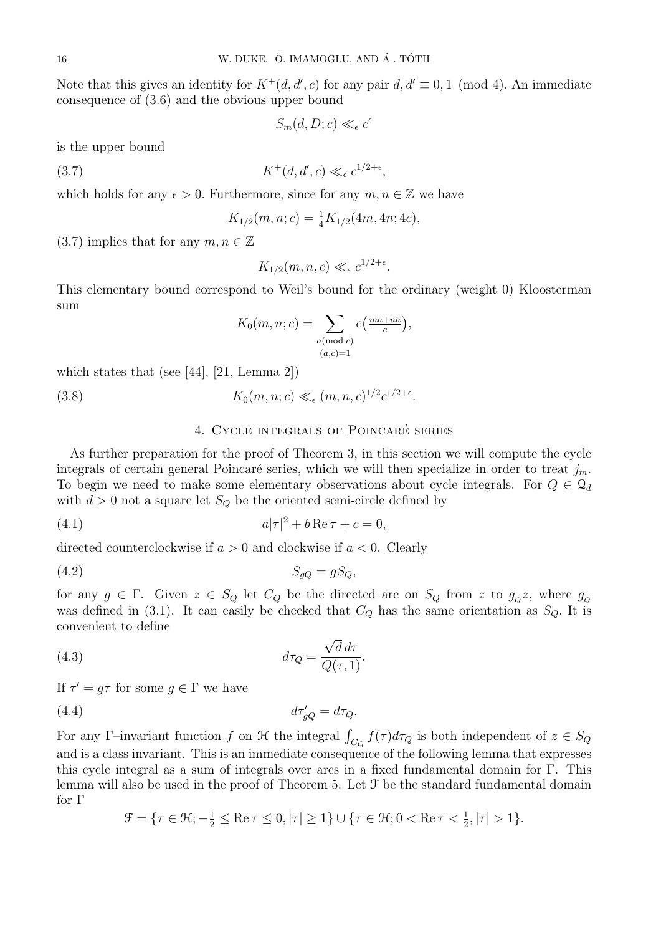Note that this gives an identity for  $K^+(d, d', c)$  for any pair  $d, d' \equiv 0, 1 \pmod{4}$ . An immediate consequence of (3.6) and the obvious upper bound

 $S_m(d, D; c) \ll_{\epsilon} c^{\epsilon}$ 

is the upper bound

$$
(3.7) \t K^+(d,d',c) \ll_{\epsilon} c^{1/2+\epsilon},
$$

which holds for any  $\epsilon > 0$ . Furthermore, since for any  $m, n \in \mathbb{Z}$  we have

$$
K_{1/2}(m, n; c) = \frac{1}{4} K_{1/2}(4m, 4n; 4c),
$$

 $(3.7)$  implies that for any  $m, n \in \mathbb{Z}$ 

 $K_{1/2}(m, n, c) \ll_{\epsilon} c^{1/2+\epsilon}.$ 

This elementary bound correspond to Weil's bound for the ordinary (weight 0) Kloosterman sum

$$
K_0(m, n; c) = \sum_{\substack{a \pmod{c} \\ (a, c) = 1}} e\left(\frac{ma + n\bar{a}}{c}\right),
$$

which states that (see [44], [21, Lemma 2])

(3.8)  $K_0(m, n; c) \ll_{\epsilon} (m, n, c)^{1/2} c^{1/2 + \epsilon}.$ 

# 4. CYCLE INTEGRALS OF POINCARÉ SERIES

As further preparation for the proof of Theorem 3, in this section we will compute the cycle integrals of certain general Poincaré series, which we will then specialize in order to treat  $j_m$ . To begin we need to make some elementary observations about cycle integrals. For  $Q \in \mathcal{Q}_d$ with  $d > 0$  not a square let  $S_Q$  be the oriented semi-circle defined by

$$
(4.1) \t\t a|\tau|^2 + b\operatorname{Re}\tau + c = 0,
$$

directed counterclockwise if  $a > 0$  and clockwise if  $a < 0$ . Clearly

$$
(4.2) \t\t S_{gQ} = gS_Q,
$$

for any  $g \in \Gamma$ . Given  $z \in S_Q$  let  $C_Q$  be the directed arc on  $S_Q$  from z to  $g_Q z$ , where  $g_Q$ was defined in (3.1). It can easily be checked that  $C_Q$  has the same orientation as  $S_Q$ . It is convenient to define √

(4.3) 
$$
d\tau_Q = \frac{\sqrt{d} d\tau}{Q(\tau, 1)}.
$$

If  $\tau' = g\tau$  for some  $g \in \Gamma$  we have

$$
(4.4) \t\t d\tau'_{gQ} = d\tau_Q.
$$

For any Γ-invariant function f on  $\mathcal H$  the integral  $\int_{C_Q} f(\tau) d\tau_Q$  is both independent of  $z \in S_Q$ and is a class invariant. This is an immediate consequence of the following lemma that expresses this cycle integral as a sum of integrals over arcs in a fixed fundamental domain for Γ. This lemma will also be used in the proof of Theorem 5. Let  $\mathcal F$  be the standard fundamental domain for Γ

$$
\mathcal{F} = \{ \tau \in \mathcal{H}; -\frac{1}{2} \leq \text{Re}\,\tau \leq 0, |\tau| \geq 1 \} \cup \{ \tau \in \mathcal{H}; 0 < \text{Re}\,\tau < \frac{1}{2}, |\tau| > 1 \}.
$$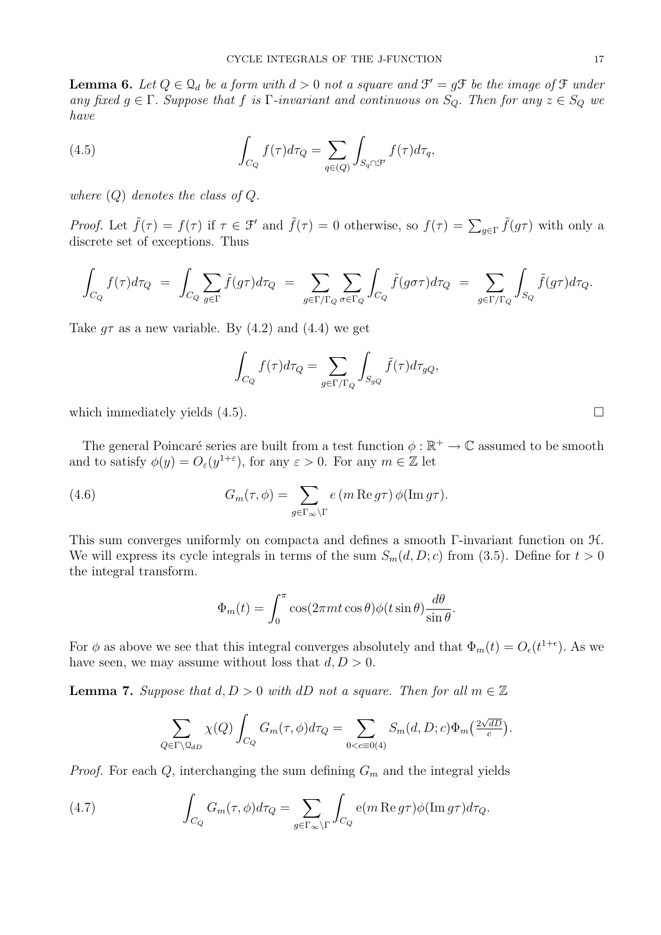**Lemma 6.** Let  $Q \in \mathcal{Q}_d$  be a form with  $d > 0$  not a square and  $\mathcal{F}' = g\mathcal{F}$  be the image of  $\mathcal{F}$  under any fixed  $g \in \Gamma$ . Suppose that f is  $\Gamma$ -invariant and continuous on  $S_Q$ . Then for any  $z \in S_Q$  we have

(4.5) 
$$
\int_{C_Q} f(\tau) d\tau_Q = \sum_{q \in (Q)} \int_{S_q \cap \mathcal{F}} f(\tau) d\tau_q,
$$

where  $(Q)$  denotes the class of  $Q$ .

*Proof.* Let  $\tilde{f}(\tau) = f(\tau)$  if  $\tau \in \mathcal{F}'$  and  $\tilde{f}(\tau) = 0$  otherwise, so  $f(\tau) = \sum_{g \in \Gamma} \tilde{f}(g\tau)$  with only a discrete set of exceptions. Thus

$$
\int_{C_Q} f(\tau) d\tau_Q = \int_{C_Q} \sum_{g \in \Gamma} \tilde{f}(g\tau) d\tau_Q = \sum_{g \in \Gamma/\Gamma_Q} \sum_{\sigma \in \Gamma_Q} \int_{C_Q} \tilde{f}(g\sigma\tau) d\tau_Q = \sum_{g \in \Gamma/\Gamma_Q} \int_{S_Q} \tilde{f}(g\tau) d\tau_Q.
$$

Take  $q\tau$  as a new variable. By (4.2) and (4.4) we get

$$
\int_{C_Q} f(\tau) d\tau_Q = \sum_{g \in \Gamma/\Gamma_Q} \int_{S_{gQ}} \tilde{f}(\tau) d\tau_{gQ},
$$

which immediately yields  $(4.5)$ .

The general Poincaré series are built from a test function  $\phi : \mathbb{R}^+ \to \mathbb{C}$  assumed to be smooth and to satisfy  $\phi(y) = O_{\varepsilon}(y^{1+\varepsilon})$ , for any  $\varepsilon > 0$ . For any  $m \in \mathbb{Z}$  let

(4.6) 
$$
G_m(\tau,\phi) = \sum_{g \in \Gamma_\infty \backslash \Gamma} e(m \operatorname{Re} g \tau) \phi(\operatorname{Im} g \tau).
$$

This sum converges uniformly on compacta and defines a smooth Γ-invariant function on H. We will express its cycle integrals in terms of the sum  $S_m(d, D; c)$  from (3.5). Define for  $t > 0$ the integral transform.

$$
\Phi_m(t) = \int_0^\pi \cos(2\pi mt \cos\theta) \phi(t \sin\theta) \frac{d\theta}{\sin\theta}.
$$

For  $\phi$  as above we see that this integral converges absolutely and that  $\Phi_m(t) = O_{\epsilon}(t^{1+\epsilon})$ . As we have seen, we may assume without loss that  $d, D > 0$ .

**Lemma 7.** Suppose that  $d, D > 0$  with dD not a square. Then for all  $m \in \mathbb{Z}$ 

$$
\sum_{Q \in \Gamma \backslash \mathcal{Q}_{dD}} \chi(Q) \int_{C_Q} G_m(\tau, \phi) d\tau_Q = \sum_{0 < c \equiv 0(4)} S_m(d, D; c) \Phi_m\left(\frac{2\sqrt{dD}}{c}\right).
$$

*Proof.* For each  $Q$ , interchanging the sum defining  $G_m$  and the integral yields

(4.7) 
$$
\int_{C_Q} G_m(\tau,\phi) d\tau_Q = \sum_{g \in \Gamma_\infty \backslash \Gamma} \int_{C_Q} e(m \operatorname{Re} g \tau) \phi(\operatorname{Im} g \tau) d\tau_Q.
$$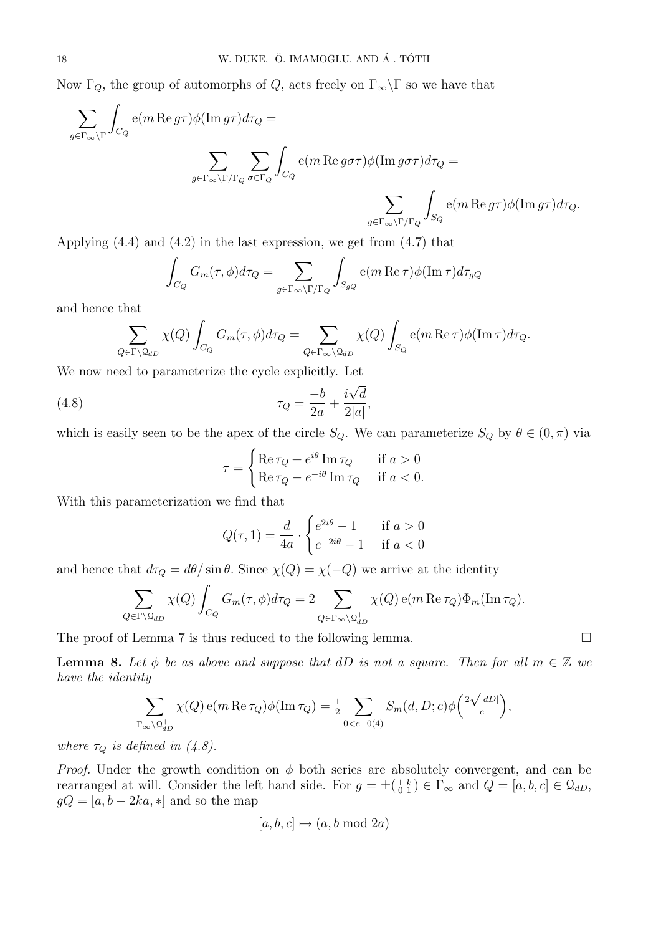Now  $\Gamma_Q$ , the group of automorphs of  $Q$ , acts freely on  $\Gamma_{\infty}\backslash\Gamma$  so we have that

$$
\sum_{g \in \Gamma_{\infty} \backslash \Gamma} \int_{C_Q} e(m \operatorname{Re} g \tau) \phi(\operatorname{Im} g \tau) d\tau_Q =
$$
\n
$$
\sum_{g \in \Gamma_{\infty} \backslash \Gamma / \Gamma_Q} \sum_{\sigma \in \Gamma_Q} \int_{C_Q} e(m \operatorname{Re} g \sigma \tau) \phi(\operatorname{Im} g \sigma \tau) d\tau_Q =
$$
\n
$$
\sum_{g \in \Gamma_{\infty} \backslash \Gamma / \Gamma_Q} \int_{S_Q} e(m \operatorname{Re} g \tau) \phi(\operatorname{Im} g \tau) d\tau_Q.
$$

Applying (4.4) and (4.2) in the last expression, we get from (4.7) that

$$
\int_{C_Q} G_m(\tau,\phi) d\tau_Q = \sum_{g \in \Gamma_\infty \backslash \Gamma / \Gamma_Q} \int_{S_{gQ}} e(m \operatorname{Re} \tau) \phi(\operatorname{Im} \tau) d\tau_{gQ}
$$

and hence that

$$
\sum_{Q \in \Gamma \backslash \mathcal{Q}_{dD}} \chi(Q) \int_{C_Q} G_m(\tau, \phi) d\tau_Q = \sum_{Q \in \Gamma_{\infty} \backslash \mathcal{Q}_{dD}} \chi(Q) \int_{S_Q} e(m \operatorname{Re} \tau) \phi(\operatorname{Im} \tau) d\tau_Q.
$$

We now need to parameterize the cycle explicitly. Let

(4.8) 
$$
\tau_Q = \frac{-b}{2a} + \frac{i\sqrt{d}}{2|a|},
$$

which is easily seen to be the apex of the circle  $S_Q$ . We can parameterize  $S_Q$  by  $\theta \in (0, \pi)$  via

$$
\tau = \begin{cases} \text{Re}\,\tau_Q + e^{i\theta} \,\text{Im}\,\tau_Q & \text{if } a > 0 \\ \text{Re}\,\tau_Q - e^{-i\theta} \,\text{Im}\,\tau_Q & \text{if } a < 0. \end{cases}
$$

With this parameterization we find that

$$
Q(\tau, 1) = \frac{d}{4a} \cdot \begin{cases} e^{2i\theta} - 1 & \text{if } a > 0\\ e^{-2i\theta} - 1 & \text{if } a < 0 \end{cases}
$$

and hence that  $d\tau_Q = d\theta / \sin \theta$ . Since  $\chi(Q) = \chi(-Q)$  we arrive at the identity

$$
\sum_{Q \in \Gamma \backslash \mathcal{Q}_{dD}} \chi(Q) \int_{C_Q} G_m(\tau, \phi) d\tau_Q = 2 \sum_{Q \in \Gamma_{\infty} \backslash \mathcal{Q}_{dD}^+} \chi(Q) e(m \operatorname{Re} \tau_Q) \Phi_m(\operatorname{Im} \tau_Q).
$$

The proof of Lemma 7 is thus reduced to the following lemma.

**Lemma 8.** Let  $\phi$  be as above and suppose that dD is not a square. Then for all  $m \in \mathbb{Z}$  we have the identity

$$
\sum_{\Gamma_{\infty}\backslash \mathcal{Q}_{dD}^+} \chi(Q) e(m \operatorname{Re} \tau_Q) \phi(\operatorname{Im} \tau_Q) = \frac{1}{2} \sum_{0 < c \equiv 0} S_m(d, D; c) \phi\left(\frac{2\sqrt{|dD|}}{c}\right),
$$

where  $\tau_Q$  is defined in (4.8).

*Proof.* Under the growth condition on  $\phi$  both series are absolutely convergent, and can be rearranged at will. Consider the left hand side. For  $g = \pm \begin{pmatrix} 1 & k \\ 0 & 1 \end{pmatrix} \in \Gamma_{\infty}$  and  $Q = [a, b, c] \in \mathcal{Q}_{dD}$ ,  $gQ = [a, b - 2ka, *]$  and so the map

$$
[a, b, c] \mapsto (a, b \bmod 2a)
$$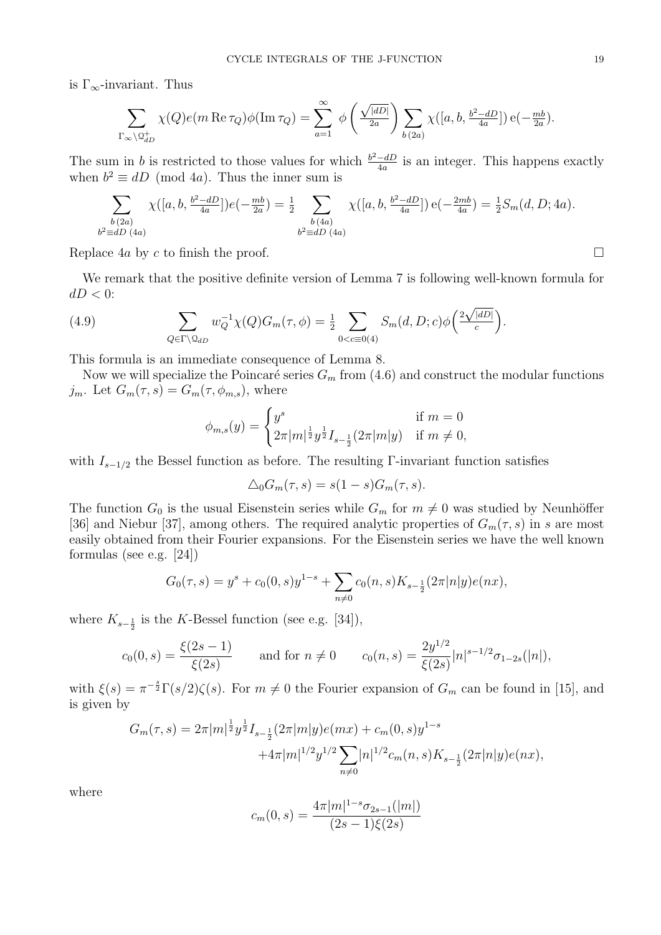is  $\Gamma_{\infty}$ -invariant. Thus

$$
\sum_{\Gamma_{\infty}\backslash \mathcal{Q}_{dD}^+} \chi(Q)e(m\operatorname{Re}\tau_Q)\phi(\operatorname{Im}\tau_Q)=\sum_{a=1}^{\infty}\;\phi\left(\tfrac{\sqrt{|dD|}}{2a}\right)\sum_{b\, (2a)}\chi([a,b,\tfrac{b^2-dD}{4a}])\,\mathrm{e}(-\tfrac{mb}{2a}).
$$

The sum in b is restricted to those values for which  $\frac{b^2-dD}{4a}$  $\frac{-dD}{4a}$  is an integer. This happens exactly when  $b^2 \equiv dD \pmod{4a}$ . Thus the inner sum is

$$
\sum_{\substack{b \ (2a) \\ b^2 \equiv dD \ (4a)}} \chi([a, b, \frac{b^2 - dD}{4a}])e(-\frac{mb}{2a}) = \frac{1}{2} \sum_{\substack{b \ (4a) \\ b^2 \equiv dD \ (4a)}} \chi([a, b, \frac{b^2 - dD}{4a}])e(-\frac{2mb}{4a}) = \frac{1}{2}S_m(d, D; 4a).
$$

Replace 4a by c to finish the proof.  $\Box$ 

We remark that the positive definite version of Lemma 7 is following well-known formula for  $dD < 0$ : √

(4.9) 
$$
\sum_{Q \in \Gamma \backslash \Omega_{dD}} w_Q^{-1} \chi(Q) G_m(\tau, \phi) = \frac{1}{2} \sum_{0 < c \equiv 0 \ (4)} S_m(d, D; c) \phi\left(\frac{2\sqrt{|dD|}}{c}\right).
$$

This formula is an immediate consequence of Lemma 8.

Now we will specialize the Poincaré series  $G_m$  from (4.6) and construct the modular functions  $j_m$ . Let  $G_m(\tau, s) = G_m(\tau, \phi_{m,s})$ , where

$$
\phi_{m,s}(y) = \begin{cases} y^s & \text{if } m = 0\\ 2\pi |m|^{\frac{1}{2}} y^{\frac{1}{2}} I_{s-\frac{1}{2}}(2\pi |m|y) & \text{if } m \neq 0, \end{cases}
$$

with  $I_{s-1/2}$  the Bessel function as before. The resulting Γ-invariant function satisfies

$$
\Delta_0 G_m(\tau, s) = s(1 - s)G_m(\tau, s).
$$

The function  $G_0$  is the usual Eisenstein series while  $G_m$  for  $m \neq 0$  was studied by Neunhöffer [36] and Niebur [37], among others. The required analytic properties of  $G_m(\tau, s)$  in s are most easily obtained from their Fourier expansions. For the Eisenstein series we have the well known formulas (see e.g. [24])

$$
G_0(\tau,s) = y^s + c_0(0,s)y^{1-s} + \sum_{n \neq 0} c_0(n,s)K_{s-\frac{1}{2}}(2\pi |n|y)e(nx),
$$

where  $K_{s-\frac{1}{2}}$  is the K-Bessel function (see e.g. [34]),

$$
c_0(0,s) = \frac{\xi(2s-1)}{\xi(2s)} \quad \text{and for } n \neq 0 \quad c_0(n,s) = \frac{2y^{1/2}}{\xi(2s)} |n|^{s-1/2} \sigma_{1-2s}(|n|),
$$

with  $\xi(s) = \pi^{-\frac{s}{2}} \Gamma(s/2) \zeta(s)$ . For  $m \neq 0$  the Fourier expansion of  $G_m$  can be found in [15], and is given by

$$
G_m(\tau, s) = 2\pi |m|^{\frac{1}{2}} y^{\frac{1}{2}} I_{s-\frac{1}{2}}(2\pi |m| y) e(mx) + c_m(0, s) y^{1-s}
$$
  
 
$$
+ 4\pi |m|^{1/2} y^{1/2} \sum_{n \neq 0} |n|^{1/2} c_m(n, s) K_{s-\frac{1}{2}}(2\pi |n| y) e(nx),
$$

where

$$
c_m(0,s) = \frac{4\pi |m|^{1-s} \sigma_{2s-1}(|m|)}{(2s-1)\xi(2s)}
$$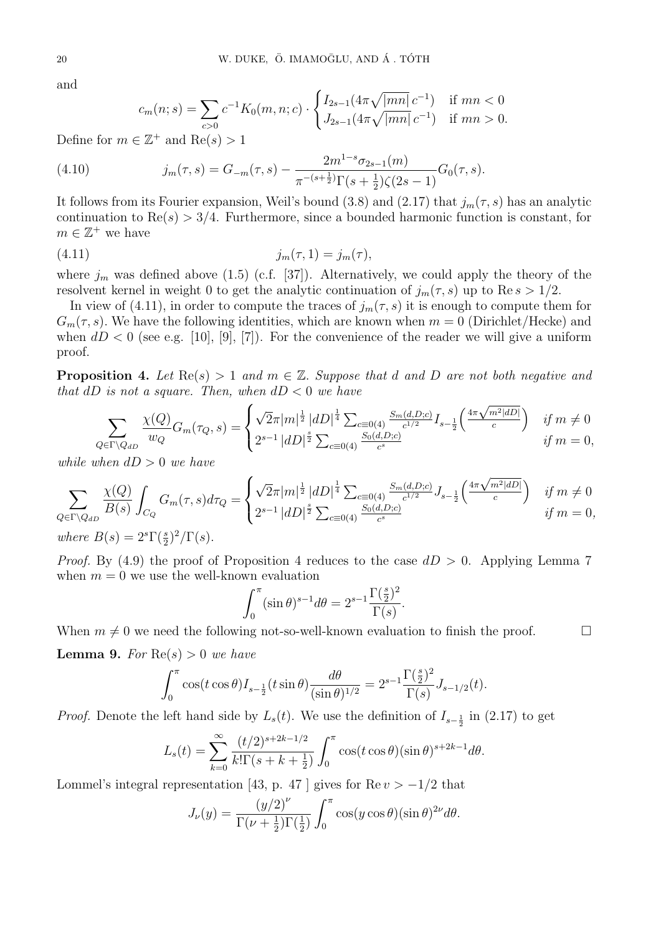and

$$
c_m(n; s) = \sum_{c>0} c^{-1} K_0(m, n; c) \cdot \begin{cases} I_{2s-1}(4\pi \sqrt{|mn|} \, c^{-1}) & \text{if } mn < 0 \\ J_{2s-1}(4\pi \sqrt{|mn|} \, c^{-1}) & \text{if } mn > 0. \end{cases}
$$

Define for  $m \in \mathbb{Z}^+$  and  $\text{Re}(s) > 1$ 

(4.10) 
$$
j_m(\tau,s) = G_{-m}(\tau,s) - \frac{2m^{1-s}\sigma_{2s-1}(m)}{\pi^{-(s+\frac{1}{2})}\Gamma(s+\frac{1}{2})\zeta(2s-1)}G_0(\tau,s).
$$

It follows from its Fourier expansion, Weil's bound (3.8) and (2.17) that  $j_m(\tau, s)$  has an analytic continuation to  $\text{Re}(s) > 3/4$ . Furthermore, since a bounded harmonic function is constant, for  $m \in \mathbb{Z}^+$  we have

(4.11) 
$$
j_m(\tau, 1) = j_m(\tau),
$$

where  $j_m$  was defined above (1.5) (c.f. [37]). Alternatively, we could apply the theory of the resolvent kernel in weight 0 to get the analytic continuation of  $j_m(\tau, s)$  up to Re  $s > 1/2$ .

In view of (4.11), in order to compute the traces of  $j_m(\tau, s)$  it is enough to compute them for  $G_m(\tau, s)$ . We have the following identities, which are known when  $m = 0$  (Dirichlet/Hecke) and when  $dD < 0$  (see e.g. [10], [9], [7]). For the convenience of the reader we will give a uniform proof.

**Proposition 4.** Let  $\text{Re}(s) > 1$  and  $m \in \mathbb{Z}$ . Suppose that d and D are not both negative and that dD is not a square. Then, when  $dD < 0$  we have

$$
\sum_{Q \in \Gamma \backslash Q_{dD}} \frac{\chi(Q)}{w_Q} G_m(\tau_Q, s) = \begin{cases} \sqrt{2}\pi |m|^{\frac{1}{2}} |dD|^{\frac{1}{4}} \sum_{c \equiv 0(4)} \frac{S_m(d, D; c)}{c^{1/2}} I_{s-\frac{1}{2}} \left( \frac{4\pi \sqrt{m^2 |dD|}}{c} \right) & \text{if } m \neq 0 \\ 2^{s-1} |dD|^{\frac{s}{2}} \sum_{c \equiv 0(4)} \frac{S_0(d, D; c)}{c^s} & \text{if } m = 0, \end{cases}
$$

while when  $dD > 0$  we have

$$
\sum_{Q \in \Gamma \backslash Q_{dD}} \frac{\chi(Q)}{B(s)} \int_{C_Q} G_m(\tau, s) d\tau_Q = \begin{cases} \sqrt{2}\pi |m|^{\frac{1}{2}} |dD|^{\frac{1}{4}} \sum_{c \equiv 0(4)} \frac{S_m(d, D; c)}{c^{1/2}} J_{s-\frac{1}{2}} \left( \frac{4\pi \sqrt{m^2 |dD|}}{c} \right) & \text{if } m \neq 0\\ 2^{s-1} |dD|^{\frac{s}{2}} \sum_{c \equiv 0(4)} \frac{S_0(d, D; c)}{c^s} & \text{if } m = 0, \end{cases}
$$

where  $B(s) = 2^{s} \Gamma(\frac{s}{2})^2 / \Gamma(s)$ .

*Proof.* By (4.9) the proof of Proposition 4 reduces to the case  $dD > 0$ . Applying Lemma 7 when  $m = 0$  we use the well-known evaluation

$$
\int_0^{\pi} (\sin \theta)^{s-1} d\theta = 2^{s-1} \frac{\Gamma(\frac{s}{2})^2}{\Gamma(s)}
$$

.

When  $m \neq 0$  we need the following not-so-well-known evaluation to finish the proof.

**Lemma 9.** For  $Re(s) > 0$  we have

$$
\int_0^{\pi} \cos(t \cos \theta) I_{s-\frac{1}{2}}(t \sin \theta) \frac{d\theta}{(\sin \theta)^{1/2}} = 2^{s-1} \frac{\Gamma(\frac{s}{2})^2}{\Gamma(s)} J_{s-1/2}(t).
$$

*Proof.* Denote the left hand side by  $L_s(t)$ . We use the definition of  $I_{s-\frac{1}{2}}$  in (2.17) to get

$$
L_s(t) = \sum_{k=0}^{\infty} \frac{(t/2)^{s+2k-1/2}}{k!\Gamma(s+k+\frac{1}{2})} \int_0^{\pi} \cos(t\cos\theta)(\sin\theta)^{s+2k-1} d\theta.
$$

Lommel's integral representation [43, p. 47 ] gives for  $\text{Re } v > -1/2$  that

$$
J_{\nu}(y) = \frac{(y/2)^{\nu}}{\Gamma(\nu + \frac{1}{2})\Gamma(\frac{1}{2})} \int_0^{\pi} \cos(y \cos \theta) (\sin \theta)^{2\nu} d\theta.
$$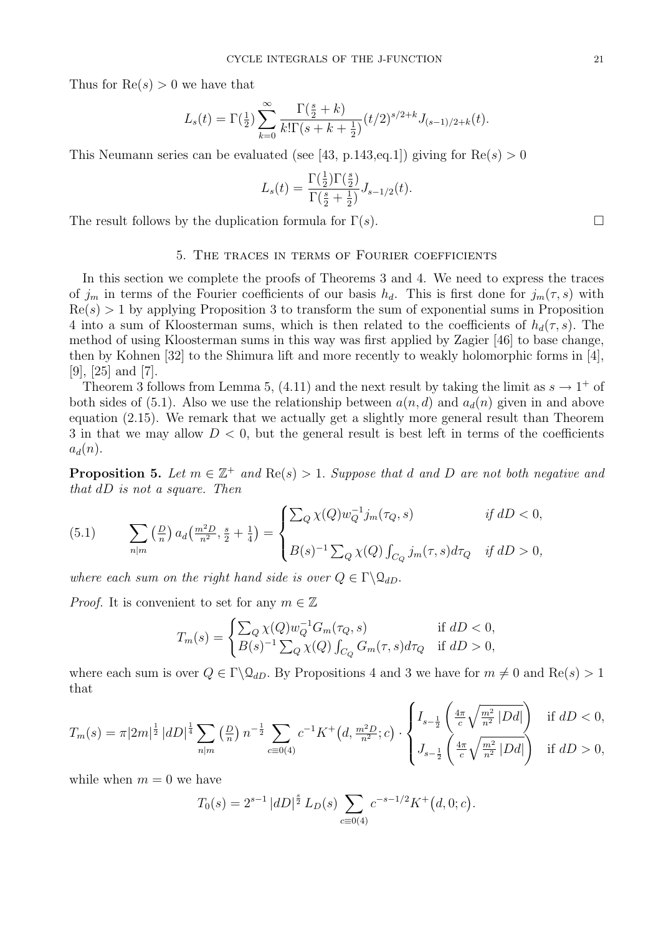Thus for  $\text{Re}(s) > 0$  we have that

$$
L_s(t) = \Gamma(\frac{1}{2}) \sum_{k=0}^{\infty} \frac{\Gamma(\frac{s}{2} + k)}{k! \Gamma(s + k + \frac{1}{2})} (t/2)^{s/2 + k} J_{(s-1)/2 + k}(t).
$$

This Neumann series can be evaluated (see [43, p.143, eq. 1]) giving for  $\text{Re}(s) > 0$ 

$$
L_s(t) = \frac{\Gamma(\frac{1}{2})\Gamma(\frac{s}{2})}{\Gamma(\frac{s}{2} + \frac{1}{2})} J_{s-1/2}(t).
$$

The result follows by the duplication formula for  $\Gamma(s)$ .

#### 5. The traces in terms of Fourier coefficients

In this section we complete the proofs of Theorems 3 and 4. We need to express the traces of  $j_m$  in terms of the Fourier coefficients of our basis  $h_d$ . This is first done for  $j_m(\tau, s)$  with  $Re(s) > 1$  by applying Proposition 3 to transform the sum of exponential sums in Proposition 4 into a sum of Kloosterman sums, which is then related to the coefficients of  $h_d(\tau, s)$ . The method of using Kloosterman sums in this way was first applied by Zagier [46] to base change, then by Kohnen [32] to the Shimura lift and more recently to weakly holomorphic forms in [4], [9], [25] and [7].

Theorem 3 follows from Lemma 5, (4.11) and the next result by taking the limit as  $s \to 1^+$  of both sides of (5.1). Also we use the relationship between  $a(n, d)$  and  $a_d(n)$  given in and above equation (2.15). We remark that we actually get a slightly more general result than Theorem 3 in that we may allow  $D < 0$ , but the general result is best left in terms of the coefficients  $a_d(n)$ .

**Proposition 5.** Let  $m \in \mathbb{Z}^+$  and  $\text{Re}(s) > 1$ . Suppose that d and D are not both negative and that dD is not a square. Then

(5.1) 
$$
\sum_{n|m} \left(\frac{D}{n}\right) a_d \left(\frac{m^2 D}{n^2}, \frac{s}{2} + \frac{1}{4}\right) = \begin{cases} \sum_Q \chi(Q) w_Q^{-1} j_m(\tau_Q, s) & \text{if } dD < 0, \\ B(s)^{-1} \sum_Q \chi(Q) \int_{C_Q} j_m(\tau, s) d\tau_Q & \text{if } dD > 0, \end{cases}
$$

where each sum on the right hand side is over  $Q \in \Gamma \backslash \mathcal{Q}_{dD}$ .

*Proof.* It is convenient to set for any  $m \in \mathbb{Z}$ 

$$
T_m(s) = \begin{cases} \sum_Q \chi(Q) w_Q^{-1} G_m(\tau_Q, s) & \text{if } dD < 0, \\ B(s)^{-1} \sum_Q \chi(Q) \int_{C_Q} G_m(\tau, s) d\tau_Q & \text{if } dD > 0, \end{cases}
$$

where each sum is over  $Q \in \Gamma \backslash \mathcal{Q}_{dD}$ . By Propositions 4 and 3 we have for  $m \neq 0$  and Re(s) > 1 that

$$
T_m(s) = \pi |2m|^{\frac{1}{2}} |dD|^{\frac{1}{4}} \sum_{n|m} \left(\frac{D}{n}\right) n^{-\frac{1}{2}} \sum_{c \equiv 0(4)} c^{-1} K^+(d, \frac{m^2 D}{n^2}; c) \cdot \begin{cases} I_{s-\frac{1}{2}}\left(\frac{4\pi}{c} \sqrt{\frac{m^2}{n^2} |Dd|}\right) & \text{if } dD < 0, \\ J_{s-\frac{1}{2}}\left(\frac{4\pi}{c} \sqrt{\frac{m^2}{n^2} |Dd|}\right) & \text{if } dD > 0, \end{cases}
$$

while when  $m = 0$  we have

$$
T_0(s) = 2^{s-1} |dD|^{\frac{s}{2}} L_D(s) \sum_{c \equiv 0(4)} c^{-s-1/2} K^+(d, 0; c).
$$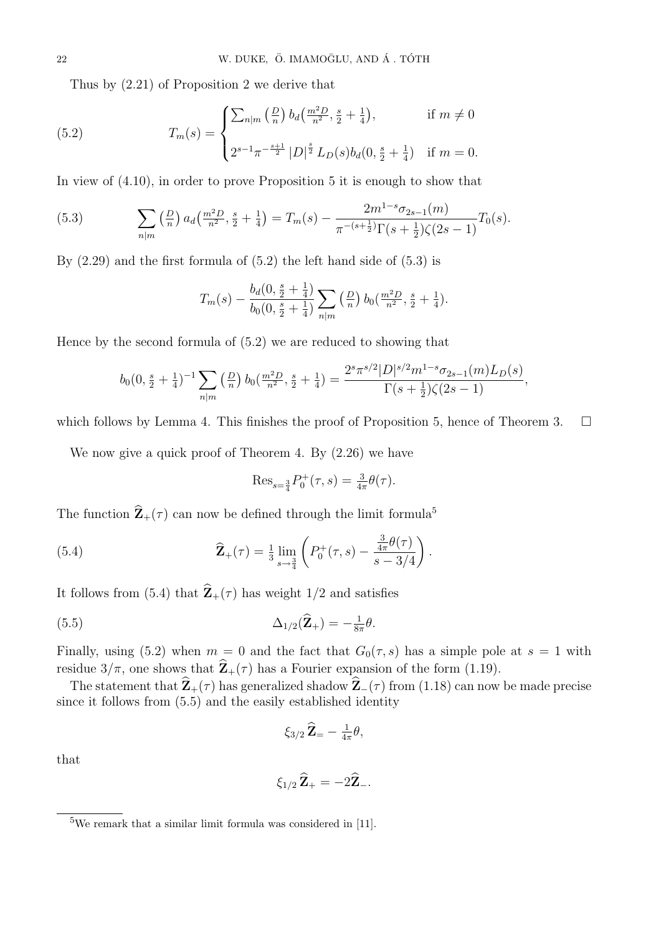Thus by (2.21) of Proposition 2 we derive that

(5.2) 
$$
T_m(s) = \begin{cases} \sum_{n|m} \left(\frac{D}{n}\right) b_d \left(\frac{m^2 D}{n^2}, \frac{s}{2} + \frac{1}{4}\right), & \text{if } m \neq 0\\ 2^{s-1} \pi^{-\frac{s+1}{2}} |D|^{\frac{s}{2}} L_D(s) b_d (0, \frac{s}{2} + \frac{1}{4}) & \text{if } m = 0. \end{cases}
$$

In view of (4.10), in order to prove Proposition 5 it is enough to show that

(5.3) 
$$
\sum_{n|m} \left(\frac{D}{n}\right) a_d \left(\frac{m^2 D}{n^2}, \frac{s}{2} + \frac{1}{4}\right) = T_m(s) - \frac{2m^{1-s}\sigma_{2s-1}(m)}{\pi^{-(s+\frac{1}{2})}\Gamma(s+\frac{1}{2})\zeta(2s-1)} T_0(s).
$$

By  $(2.29)$  and the first formula of  $(5.2)$  the left hand side of  $(5.3)$  is

$$
T_m(s) - \frac{b_d(0, \frac{s}{2} + \frac{1}{4})}{b_0(0, \frac{s}{2} + \frac{1}{4})} \sum_{n|m} \left(\frac{D}{n}\right) b_0(\frac{m^2 D}{n^2}, \frac{s}{2} + \frac{1}{4}).
$$

Hence by the second formula of (5.2) we are reduced to showing that

$$
b_0(0, \frac{s}{2} + \frac{1}{4})^{-1} \sum_{n|m} \left(\frac{D}{n}\right) b_0(\frac{m^2 D}{n^2}, \frac{s}{2} + \frac{1}{4}) = \frac{2^s \pi^{s/2} |D|^{s/2} m^{1-s} \sigma_{2s-1}(m) L_D(s)}{\Gamma(s + \frac{1}{2}) \zeta(2s - 1)},
$$

which follows by Lemma 4. This finishes the proof of Proposition 5, hence of Theorem 3.  $\Box$ 

We now give a quick proof of Theorem 4. By (2.26) we have

Res<sub>s=\frac{3}{4}</sub>
$$
P_0^+(\tau, s) = \frac{3}{4\pi}\theta(\tau)
$$
.

The function  $\hat{\mathbf{Z}}_+(\tau)$  can now be defined through the limit formula<sup>5</sup>

(5.4) 
$$
\widehat{\mathbf{Z}}_{+}(\tau) = \frac{1}{3} \lim_{s \to \frac{3}{4}} \left( P_0^+(\tau, s) - \frac{\frac{3}{4\pi} \theta(\tau)}{s - 3/4} \right).
$$

It follows from (5.4) that  $\hat{\mathbf{Z}}_+(\tau)$  has weight 1/2 and satisfies

$$
\Delta_{1/2}(\widehat{\mathbf{Z}}_{+}) = -\tfrac{1}{8\pi}\theta.
$$

Finally, using (5.2) when  $m = 0$  and the fact that  $G_0(\tau, s)$  has a simple pole at  $s = 1$  with residue  $3/\pi$ , one shows that  $\hat{\mathbf{Z}}_+(\tau)$  has a Fourier expansion of the form (1.19).

The statement that  $\hat{\mathbf{Z}}_+(\tau)$  has generalized shadow  $\hat{\mathbf{Z}}_-(\tau)$  from (1.18) can now be made precise since it follows from (5.5) and the easily established identity

$$
\xi_{3/2}\,\widehat{\mathbf{Z}}_{\pm} - \tfrac{1}{4\pi}\theta,
$$

that

$$
\xi_{1/2}\widehat{\mathbf{Z}}_{+}=-2\widehat{\mathbf{Z}}_{-}.
$$

 $5$ We remark that a similar limit formula was considered in [11].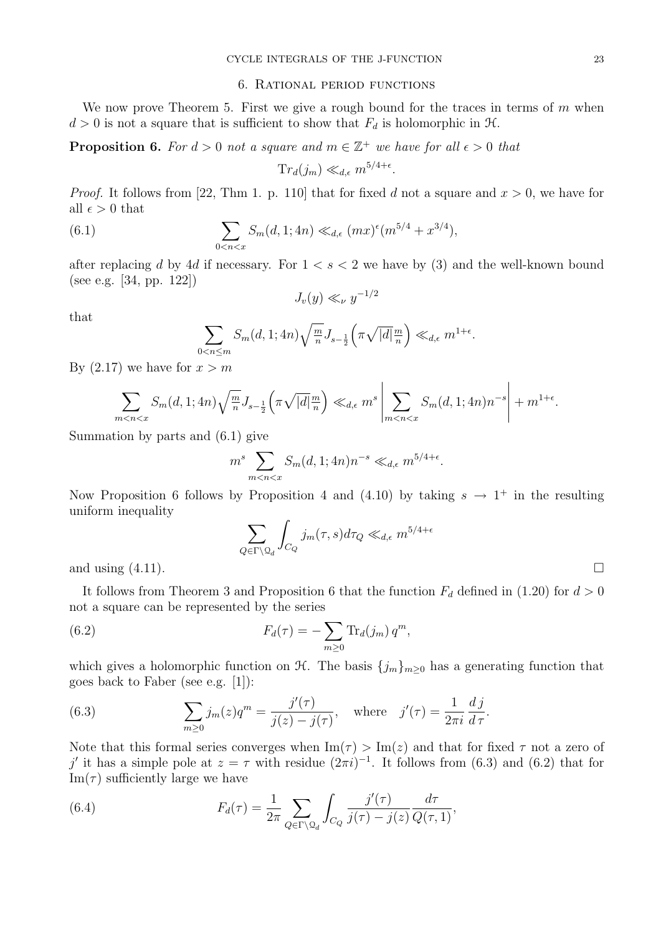#### 6. Rational period functions

We now prove Theorem 5. First we give a rough bound for the traces in terms of  $m$  when  $d > 0$  is not a square that is sufficient to show that  $F_d$  is holomorphic in  $\mathcal{H}$ .

**Proposition 6.** For  $d > 0$  not a square and  $m \in \mathbb{Z}^+$  we have for all  $\epsilon > 0$  that  $Tr_d(j_m) \ll_{d,\epsilon} m^{5/4+\epsilon}.$ 

*Proof.* It follows from [22, Thm 1. p. 110] that for fixed d not a square and  $x > 0$ , we have for all  $\epsilon > 0$  that

(6.1) 
$$
\sum_{0 < n < x} S_m(d, 1; 4n) \ll_{d, \epsilon} (mx)^{\epsilon} (m^{5/4} + x^{3/4}),
$$

after replacing d by 4d if necessary. For  $1 < s < 2$  we have by (3) and the well-known bound (see e.g. [34, pp. 122])

$$
J_v(y)\ll_\nu y^{-1/2}
$$

that

$$
\sum_{0 < n \le m} S_m(d, 1; 4n) \sqrt{\frac{m}{n}} J_{s - \frac{1}{2}} \left( \pi \sqrt{|d|} \frac{m}{n} \right) \ll_{d, \epsilon} m^{1 + \epsilon}
$$

.

By  $(2.17)$  we have for  $x > m$ 

$$
\sum_{m
$$

Summation by parts and (6.1) give

$$
m^{s} \sum_{m < n < x} S_{m}(d, 1; 4n) n^{-s} \ll_{d, \epsilon} m^{5/4 + \epsilon}.
$$

Now Proposition 6 follows by Proposition 4 and (4.10) by taking  $s \to 1^+$  in the resulting uniform inequality

$$
\sum_{Q \in \Gamma \backslash \mathcal{Q}_d} \int_{C_Q} j_m(\tau, s) d\tau_Q \ll_{d, \epsilon} m^{5/4 + \epsilon}
$$

and using  $(4.11)$ .

It follows from Theorem 3 and Proposition 6 that the function  $F_d$  defined in (1.20) for  $d > 0$ not a square can be represented by the series

(6.2) 
$$
F_d(\tau) = -\sum_{m\geq 0} \text{Tr}_d(j_m) q^m,
$$

which gives a holomorphic function on  $\mathcal{H}$ . The basis  ${j_m}_{m>0}$  has a generating function that goes back to Faber (see e.g. [1]):

(6.3) 
$$
\sum_{m\geq 0} j_m(z)q^m = \frac{j'(\tau)}{j(z) - j(\tau)}, \text{ where } j'(\tau) = \frac{1}{2\pi i} \frac{dj}{d\tau}.
$$

Note that this formal series converges when  $\text{Im}(\tau) > \text{Im}(z)$  and that for fixed  $\tau$  not a zero of j' it has a simple pole at  $z = \tau$  with residue  $(2\pi i)^{-1}$ . It follows from (6.3) and (6.2) that for  $\text{Im}(\tau)$  sufficiently large we have

(6.4) 
$$
F_d(\tau) = \frac{1}{2\pi} \sum_{Q \in \Gamma \backslash \mathcal{Q}_d} \int_{C_Q} \frac{j'(\tau)}{j(\tau) - j(z)} \frac{d\tau}{Q(\tau, 1)},
$$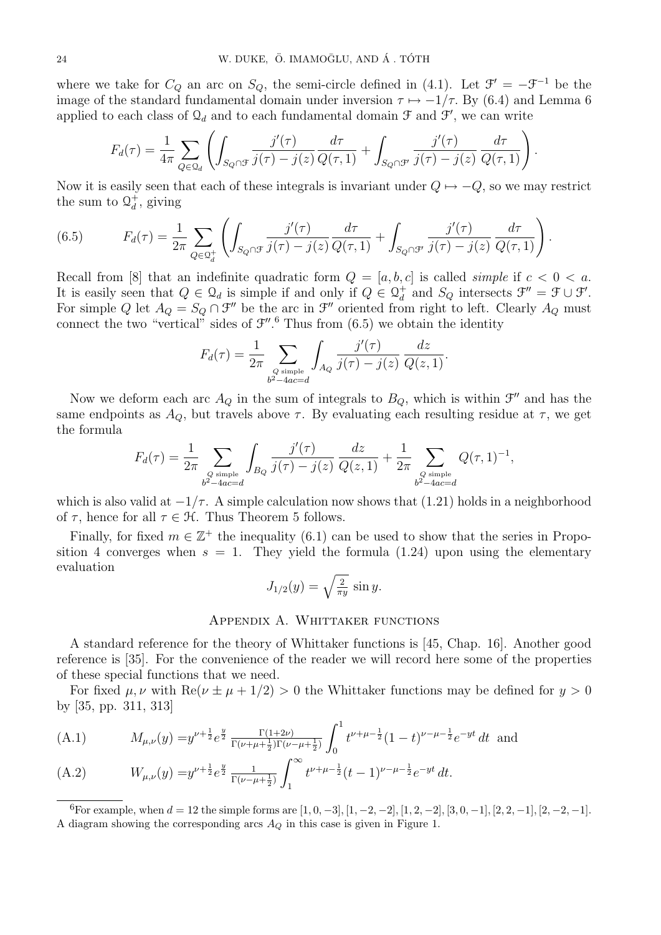where we take for  $C_Q$  an arc on  $S_Q$ , the semi-circle defined in (4.1). Let  $\mathcal{F}' = -\mathcal{F}^{-1}$  be the image of the standard fundamental domain under inversion  $\tau \mapsto -1/\tau$ . By (6.4) and Lemma 6 applied to each class of  $\mathcal{Q}_d$  and to each fundamental domain  $\mathcal F$  and  $\mathcal F'$ , we can write

$$
F_d(\tau) = \frac{1}{4\pi} \sum_{Q \in \mathcal{Q}_d} \left( \int_{S_Q \cap \mathcal{F}} \frac{j'(\tau)}{j(\tau) - j(z)} \frac{d\tau}{Q(\tau, 1)} + \int_{S_Q \cap \mathcal{F}'} \frac{j'(\tau)}{j(\tau) - j(z)} \frac{d\tau}{Q(\tau, 1)} \right).
$$

Now it is easily seen that each of these integrals is invariant under  $Q \mapsto -Q$ , so we may restrict the sum to  $\mathcal{Q}_d^+$  $_d^+$ , giving

(6.5) 
$$
F_d(\tau) = \frac{1}{2\pi} \sum_{Q \in \mathcal{Q}_d^+} \left( \int_{S_Q \cap \mathcal{F}} \frac{j'(\tau)}{j(\tau) - j(z)} \frac{d\tau}{Q(\tau, 1)} + \int_{S_Q \cap \mathcal{F}'} \frac{j'(\tau)}{j(\tau) - j(z)} \frac{d\tau}{Q(\tau, 1)} \right).
$$

Recall from [8] that an indefinite quadratic form  $Q = [a, b, c]$  is called *simple* if  $c < 0 < a$ . It is easily seen that  $Q \in \mathcal{Q}_d$  is simple if and only if  $Q \in \mathcal{Q}_d^+$  $d^+$  and  $S_Q$  intersects  $\mathfrak{F}'' = \mathfrak{F} \cup \mathfrak{F}'$ . For simple Q let  $A_Q = S_Q \cap \mathcal{F}''$  be the arc in  $\mathcal{F}''$  oriented from right to left. Clearly  $A_Q$  must connect the two "vertical" sides of  $\mathcal{F}''$ . Thus from  $(6.5)$  we obtain the identity

$$
F_d(\tau) = \frac{1}{2\pi} \sum_{\substack{Q \text{ simple} \\ b^2 - 4ac = d}} \int_{A_Q} \frac{j'(\tau)}{j(\tau) - j(z)} \frac{dz}{Q(z, 1)}.
$$

Now we deform each arc  $A_Q$  in the sum of integrals to  $B_Q$ , which is within  $\mathcal{F}''$  and has the same endpoints as  $A_Q$ , but travels above  $\tau$ . By evaluating each resulting residue at  $\tau$ , we get the formula

$$
F_d(\tau) = \frac{1}{2\pi} \sum_{\substack{Q \text{ simple} \\ b^2 - 4ac = d}} \int_{B_Q} \frac{j'(\tau)}{j(\tau) - j(z)} \frac{dz}{Q(z, 1)} + \frac{1}{2\pi} \sum_{\substack{Q \text{ simple} \\ b^2 - 4ac = d}} Q(\tau, 1)^{-1},
$$

which is also valid at  $-1/\tau$ . A simple calculation now shows that (1.21) holds in a neighborhood of  $\tau$ , hence for all  $\tau \in \mathcal{H}$ . Thus Theorem 5 follows.

Finally, for fixed  $m \in \mathbb{Z}^+$  the inequality (6.1) can be used to show that the series in Proposition 4 converges when  $s = 1$ . They yield the formula (1.24) upon using the elementary evaluation

$$
J_{1/2}(y) = \sqrt{\frac{2}{\pi y}} \sin y.
$$

### Appendix A. Whittaker functions

A standard reference for the theory of Whittaker functions is [45, Chap. 16]. Another good reference is [35]. For the convenience of the reader we will record here some of the properties of these special functions that we need.

For fixed  $\mu, \nu$  with Re( $\nu \pm \mu + 1/2$ ) > 0 the Whittaker functions may be defined for  $y > 0$ by [35, pp. 311, 313]

(A.1) 
$$
M_{\mu,\nu}(y) = y^{\nu + \frac{1}{2}} e^{\frac{y}{2}} \frac{\Gamma(1+2\nu)}{\Gamma(\nu + \mu + \frac{1}{2})\Gamma(\nu - \mu + \frac{1}{2})} \int_0^1 t^{\nu + \mu - \frac{1}{2}} (1-t)^{\nu - \mu - \frac{1}{2}} e^{-yt} dt \text{ and}
$$

(A.2) 
$$
W_{\mu,\nu}(y) = y^{\nu + \frac{1}{2}} e^{\frac{y}{2}} \frac{1}{\Gamma(\nu - \mu + \frac{1}{2})} \int_1^{\infty} t^{\nu + \mu - \frac{1}{2}} (t - 1)^{\nu - \mu - \frac{1}{2}} e^{-yt} dt.
$$

<sup>6</sup>For example, when  $d = 12$  the simple forms are  $[1, 0, -3]$ ,  $[1, -2, -2]$ ,  $[1, 2, -2]$ ,  $[3, 0, -1]$ ,  $[2, 2, -1]$ ,  $[2, -2, -1]$ . A diagram showing the corresponding arcs  $A_Q$  in this case is given in Figure 1.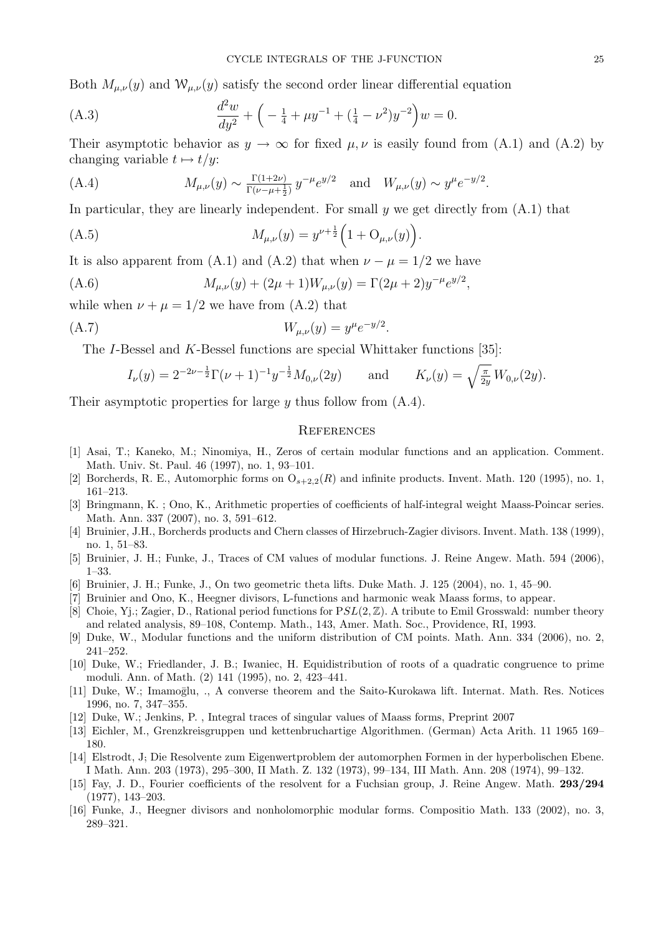Both  $M_{\mu,\nu}(y)$  and  $W_{\mu,\nu}(y)$  satisfy the second order linear differential equation

(A.3) 
$$
\frac{d^2w}{dy^2} + \left(-\frac{1}{4} + \mu y^{-1} + (\frac{1}{4} - \nu^2)y^{-2}\right)w = 0.
$$

Their asymptotic behavior as  $y \to \infty$  for fixed  $\mu, \nu$  is easily found from (A.1) and (A.2) by changing variable  $t \mapsto t/y$ :

(A.4) 
$$
M_{\mu,\nu}(y) \sim \frac{\Gamma(1+2\nu)}{\Gamma(\nu-\mu+\frac{1}{2})} y^{-\mu} e^{y/2}
$$
 and  $W_{\mu,\nu}(y) \sim y^{\mu} e^{-y/2}$ .

In particular, they are linearly independent. For small  $\gamma$  we get directly from  $(A.1)$  that

(A.5) 
$$
M_{\mu,\nu}(y) = y^{\nu + \frac{1}{2}} \left( 1 + \mathcal{O}_{\mu,\nu}(y) \right).
$$

It is also apparent from (A.1) and (A.2) that when  $\nu - \mu = 1/2$  we have

(A.6) 
$$
M_{\mu,\nu}(y) + (2\mu + 1)W_{\mu,\nu}(y) = \Gamma(2\mu + 2)y^{-\mu}e^{y/2},
$$

while when  $\nu + \mu = 1/2$  we have from (A.2) that

(A.7) 
$$
W_{\mu,\nu}(y) = y^{\mu}e^{-y/2}.
$$

The I-Bessel and K-Bessel functions are special Whittaker functions [35]:

$$
I_{\nu}(y) = 2^{-2\nu - \frac{1}{2}} \Gamma(\nu + 1)^{-1} y^{-\frac{1}{2}} M_{0,\nu}(2y) \quad \text{and} \quad K_{\nu}(y) = \sqrt{\frac{\pi}{2y}} W_{0,\nu}(2y).
$$

Their asymptotic properties for large  $y$  thus follow from  $(A.4)$ .

## **REFERENCES**

- [1] Asai, T.; Kaneko, M.; Ninomiya, H., Zeros of certain modular functions and an application. Comment. Math. Univ. St. Paul. 46 (1997), no. 1, 93–101.
- [2] Borcherds, R. E., Automorphic forms on  $O_{s+2,2}(R)$  and infinite products. Invent. Math. 120 (1995), no. 1, 161–213.
- [3] Bringmann, K. ; Ono, K., Arithmetic properties of coefficients of half-integral weight Maass-Poincar series. Math. Ann. 337 (2007), no. 3, 591–612.
- [4] Bruinier, J.H., Borcherds products and Chern classes of Hirzebruch-Zagier divisors. Invent. Math. 138 (1999), no. 1, 51–83.
- [5] Bruinier, J. H.; Funke, J., Traces of CM values of modular functions. J. Reine Angew. Math. 594 (2006), 1–33.
- [6] Bruinier, J. H.; Funke, J., On two geometric theta lifts. Duke Math. J. 125 (2004), no. 1, 45–90.
- [7] Bruinier and Ono, K., Heegner divisors, L-functions and harmonic weak Maass forms, to appear.
- [8] Choie, Yj.; Zagier, D., Rational period functions for  $PSL(2, \mathbb{Z})$ . A tribute to Emil Grosswald: number theory and related analysis, 89–108, Contemp. Math., 143, Amer. Math. Soc., Providence, RI, 1993.
- [9] Duke, W., Modular functions and the uniform distribution of CM points. Math. Ann. 334 (2006), no. 2, 241–252.
- [10] Duke, W.; Friedlander, J. B.; Iwaniec, H. Equidistribution of roots of a quadratic congruence to prime moduli. Ann. of Math. (2) 141 (1995), no. 2, 423–441.
- [11] Duke, W.; Imamoglu, ., A converse theorem and the Saito-Kurokawa lift. Internat. Math. Res. Notices 1996, no. 7, 347–355.
- [12] Duke, W.; Jenkins, P. , Integral traces of singular values of Maass forms, Preprint 2007
- [13] Eichler, M., Grenzkreisgruppen und kettenbruchartige Algorithmen. (German) Acta Arith. 11 1965 169– 180.
- [14] Elstrodt, J; Die Resolvente zum Eigenwertproblem der automorphen Formen in der hyperbolischen Ebene. I Math. Ann. 203 (1973), 295–300, II Math. Z. 132 (1973), 99–134, III Math. Ann. 208 (1974), 99–132.
- [15] Fay, J. D., Fourier coefficients of the resolvent for a Fuchsian group, J. Reine Angew. Math. 293/294 (1977), 143–203.
- [16] Funke, J., Heegner divisors and nonholomorphic modular forms. Compositio Math. 133 (2002), no. 3, 289–321.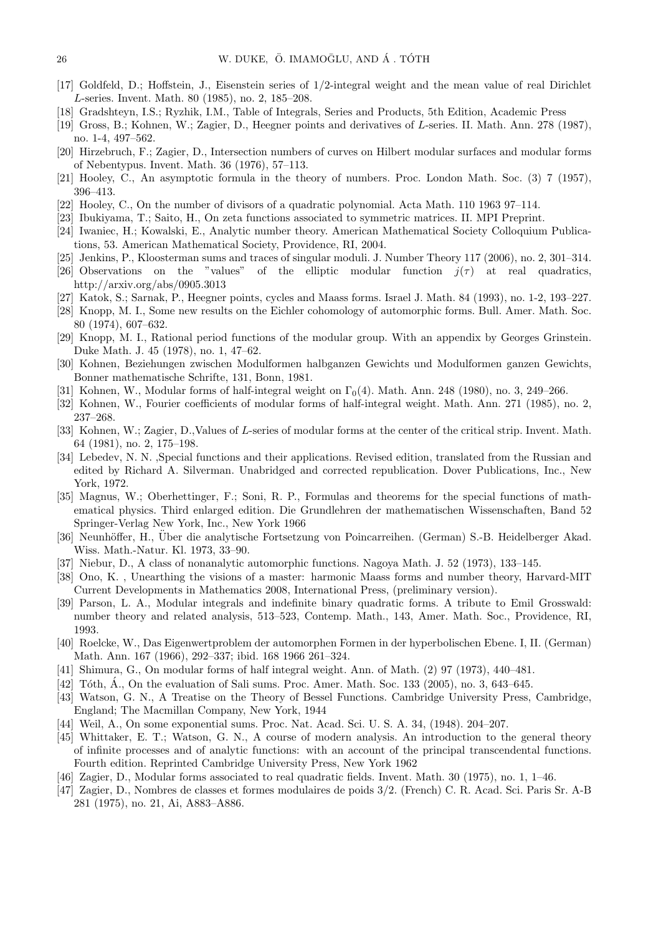- [17] Goldfeld, D.; Hoffstein, J., Eisenstein series of 1/2-integral weight and the mean value of real Dirichlet L-series. Invent. Math. 80 (1985), no. 2, 185–208.
- [18] Gradshteyn, I.S.; Ryzhik, I.M., Table of Integrals, Series and Products, 5th Edition, Academic Press
- [19] Gross, B.; Kohnen, W.; Zagier, D., Heegner points and derivatives of L-series. II. Math. Ann. 278 (1987), no. 1-4, 497–562.
- [20] Hirzebruch, F.; Zagier, D., Intersection numbers of curves on Hilbert modular surfaces and modular forms of Nebentypus. Invent. Math. 36 (1976), 57–113.
- [21] Hooley, C., An asymptotic formula in the theory of numbers. Proc. London Math. Soc. (3) 7 (1957), 396–413.
- [22] Hooley, C., On the number of divisors of a quadratic polynomial. Acta Math. 110 1963 97–114.
- [23] Ibukiyama, T.; Saito, H., On zeta functions associated to symmetric matrices. II. MPI Preprint.
- [24] Iwaniec, H.; Kowalski, E., Analytic number theory. American Mathematical Society Colloquium Publications, 53. American Mathematical Society, Providence, RI, 2004.
- [25] Jenkins, P., Kloosterman sums and traces of singular moduli. J. Number Theory 117 (2006), no. 2, 301–314.
- [26] Observations on the "values" of the elliptic modular function  $j(\tau)$  at real quadratics, http://arxiv.org/abs/0905.3013
- [27] Katok, S.; Sarnak, P., Heegner points, cycles and Maass forms. Israel J. Math. 84 (1993), no. 1-2, 193–227.
- [28] Knopp, M. I., Some new results on the Eichler cohomology of automorphic forms. Bull. Amer. Math. Soc. 80 (1974), 607–632.
- [29] Knopp, M. I., Rational period functions of the modular group. With an appendix by Georges Grinstein. Duke Math. J. 45 (1978), no. 1, 47–62.
- [30] Kohnen, Beziehungen zwischen Modulformen halbganzen Gewichts und Modulformen ganzen Gewichts, Bonner mathematische Schrifte, 131, Bonn, 1981.
- [31] Kohnen, W., Modular forms of half-integral weight on  $\Gamma_0(4)$ . Math. Ann. 248 (1980), no. 3, 249–266.
- [32] Kohnen, W., Fourier coefficients of modular forms of half-integral weight. Math. Ann. 271 (1985), no. 2, 237–268.
- [33] Kohnen, W.; Zagier, D., Values of L-series of modular forms at the center of the critical strip. Invent. Math. 64 (1981), no. 2, 175–198.
- [34] Lebedev, N. N. ,Special functions and their applications. Revised edition, translated from the Russian and edited by Richard A. Silverman. Unabridged and corrected republication. Dover Publications, Inc., New York, 1972.
- [35] Magnus, W.; Oberhettinger, F.; Soni, R. P., Formulas and theorems for the special functions of mathematical physics. Third enlarged edition. Die Grundlehren der mathematischen Wissenschaften, Band 52 Springer-Verlag New York, Inc., New York 1966
- [36] Neunhöffer, H., Über die analytische Fortsetzung von Poincarreihen. (German) S.-B. Heidelberger Akad. Wiss. Math.-Natur. Kl. 1973, 33–90.
- [37] Niebur, D., A class of nonanalytic automorphic functions. Nagoya Math. J. 52 (1973), 133–145.
- [38] Ono, K. , Unearthing the visions of a master: harmonic Maass forms and number theory, Harvard-MIT Current Developments in Mathematics 2008, International Press, (preliminary version).
- [39] Parson, L. A., Modular integrals and indefinite binary quadratic forms. A tribute to Emil Grosswald: number theory and related analysis, 513–523, Contemp. Math., 143, Amer. Math. Soc., Providence, RI, 1993.
- [40] Roelcke, W., Das Eigenwertproblem der automorphen Formen in der hyperbolischen Ebene. I, II. (German) Math. Ann. 167 (1966), 292–337; ibid. 168 1966 261–324.
- [41] Shimura, G., On modular forms of half integral weight. Ann. of Math. (2) 97 (1973), 440–481.
- $[42]$  Tôth,  $\AA$ ., On the evaluation of Sali sums. Proc. Amer. Math. Soc. 133 (2005), no. 3, 643–645.
- [43] Watson, G. N., A Treatise on the Theory of Bessel Functions. Cambridge University Press, Cambridge, England; The Macmillan Company, New York, 1944
- [44] Weil, A., On some exponential sums. Proc. Nat. Acad. Sci. U. S. A. 34, (1948). 204–207.
- [45] Whittaker, E. T.; Watson, G. N., A course of modern analysis. An introduction to the general theory of infinite processes and of analytic functions: with an account of the principal transcendental functions. Fourth edition. Reprinted Cambridge University Press, New York 1962
- [46] Zagier, D., Modular forms associated to real quadratic fields. Invent. Math. 30 (1975), no. 1, 1–46.
- [47] Zagier, D., Nombres de classes et formes modulaires de poids 3/2. (French) C. R. Acad. Sci. Paris Sr. A-B 281 (1975), no. 21, Ai, A883–A886.